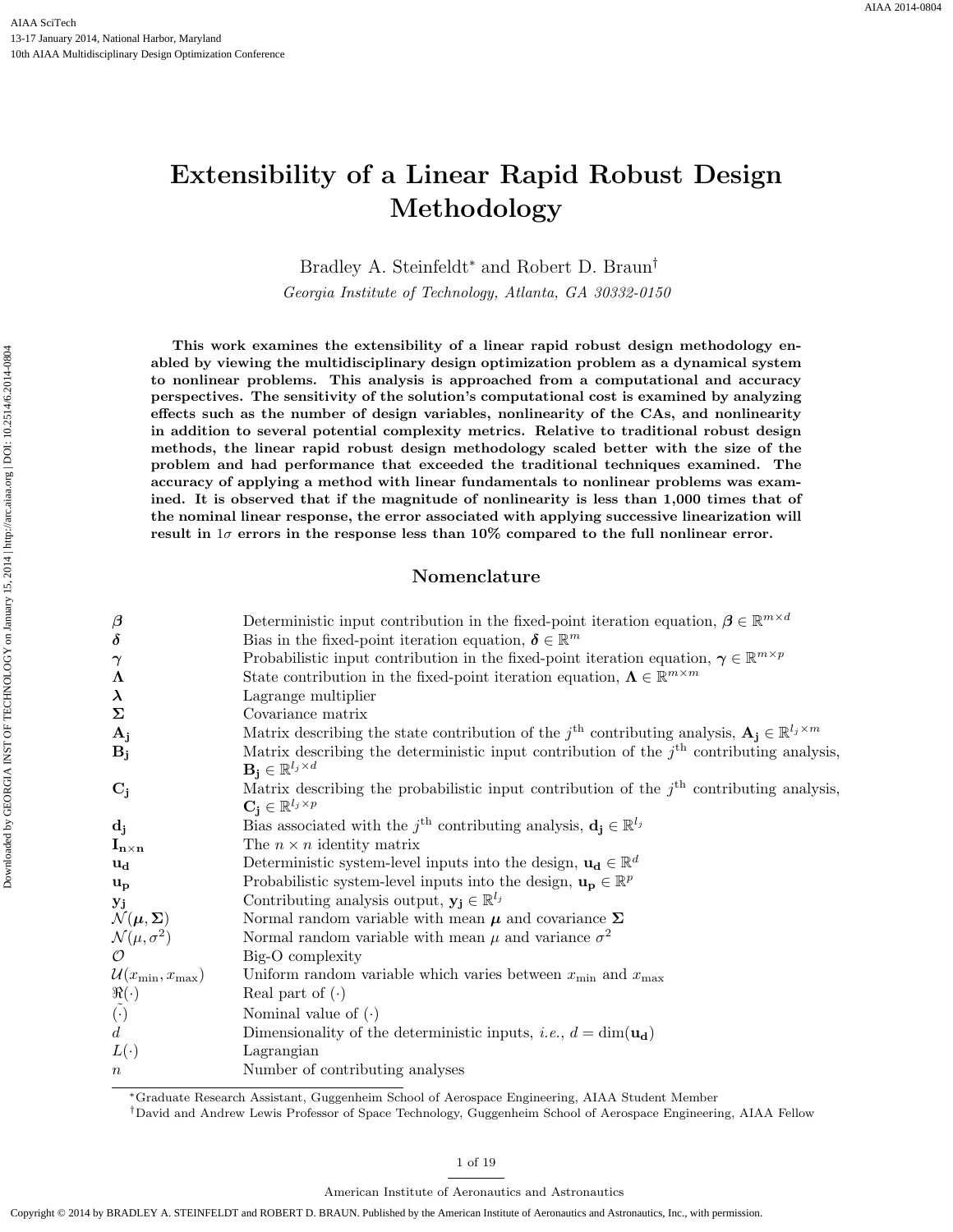# Extensibility of a Linear Rapid Robust Design Methodology

Bradley A. Steinfeldt<sup>∗</sup> and Robert D. Braun†

Georgia Institute of Technology, Atlanta, GA 30332-0150

This work examines the extensibility of a linear rapid robust design methodology enabled by viewing the multidisciplinary design optimization problem as a dynamical system to nonlinear problems. This analysis is approached from a computational and accuracy perspectives. The sensitivity of the solution's computational cost is examined by analyzing effects such as the number of design variables, nonlinearity of the CAs, and nonlinearity in addition to several potential complexity metrics. Relative to traditional robust design methods, the linear rapid robust design methodology scaled better with the size of the problem and had performance that exceeded the traditional techniques examined. The accuracy of applying a method with linear fundamentals to nonlinear problems was examined. It is observed that if the magnitude of nonlinearity is less than 1,000 times that of the nominal linear response, the error associated with applying successive linearization will result in  $1\sigma$  errors in the response less than  $10\%$  compared to the full nonlinear error.

## Nomenclature

| $\boldsymbol{\beta}$                                | Deterministic input contribution in the fixed-point iteration equation, $\boldsymbol{\beta} \in \mathbb{R}^{m \times d}$   |
|-----------------------------------------------------|----------------------------------------------------------------------------------------------------------------------------|
| $\delta$                                            | Bias in the fixed-point iteration equation, $\boldsymbol{\delta} \in \mathbb{R}^m$                                         |
| $\gamma$                                            | Probabilistic input contribution in the fixed-point iteration equation, $\gamma \in \mathbb{R}^{m \times p}$               |
| $\Lambda$                                           | State contribution in the fixed-point iteration equation, $\Lambda \in \mathbb{R}^{m \times m}$                            |
| $\lambda$                                           | Lagrange multiplier                                                                                                        |
| Σ                                                   | Covariance matrix                                                                                                          |
| ${\bf A_j}$                                         | Matrix describing the state contribution of the j <sup>th</sup> contributing analysis, $A_i \in \mathbb{R}^{l_j \times m}$ |
| $B_j$                                               | Matrix describing the deterministic input contribution of the $jth$ contributing analysis,                                 |
|                                                     | $\mathbf{B_j} \in \mathbb{R}^{l_j \times d}$                                                                               |
| $C_i$                                               | Matrix describing the probabilistic input contribution of the $jth$ contributing analysis,                                 |
|                                                     | $\mathbf{C_i} \in \mathbb{R}^{l_j \times p}$                                                                               |
| $\mathbf{d_j}$                                      | Bias associated with the $j^{\text{th}}$ contributing analysis, $\mathbf{d_i} \in \mathbb{R}^{l_j}$                        |
| $\mathbf{I}_{\mathbf{n}\times\mathbf{n}}$           | The $n \times n$ identity matrix                                                                                           |
| սե                                                  | Deterministic system-level inputs into the design, $\mathbf{u}_d \in \mathbb{R}^d$                                         |
| $\mathbf{u}_{\mathbf{p}}$                           | Probabilistic system-level inputs into the design, $\mathbf{u_p} \in \mathbb{R}^p$                                         |
| ${\bf y_j}$                                         | Contributing analysis output, $y_j \in \mathbb{R}^{l_j}$                                                                   |
| $\mathcal{N}(\boldsymbol{\mu},\boldsymbol{\Sigma})$ | Normal random variable with mean $\pmb{\mu}$ and covariance $\pmb{\Sigma}$                                                 |
| $\mathcal{N}(\mu, \sigma^2) \ \mathcal{O}$          | Normal random variable with mean $\mu$ and variance $\sigma^2$                                                             |
|                                                     | Big-O complexity                                                                                                           |
| $\mathcal{U}(x_{\min}, x_{\max})$                   | Uniform random variable which varies between $x_{\min}$ and $x_{\max}$                                                     |
| $\mathbb{R}(\cdot) \ \tilde{(\cdot)} \ d$           | Real part of $(\cdot)$                                                                                                     |
|                                                     | Nominal value of $(\cdot)$                                                                                                 |
|                                                     | Dimensionality of the deterministic inputs, <i>i.e.</i> , $d = \dim(\mathbf{u}_d)$                                         |
| $L(\cdot)$                                          | Lagrangian                                                                                                                 |
| $\, n \,$                                           | Number of contributing analyses                                                                                            |
|                                                     |                                                                                                                            |

<sup>∗</sup>Graduate Research Assistant, Guggenheim School of Aerospace Engineering, AIAA Student Member

†David and Andrew Lewis Professor of Space Technology, Guggenheim School of Aerospace Engineering, AIAA Fellow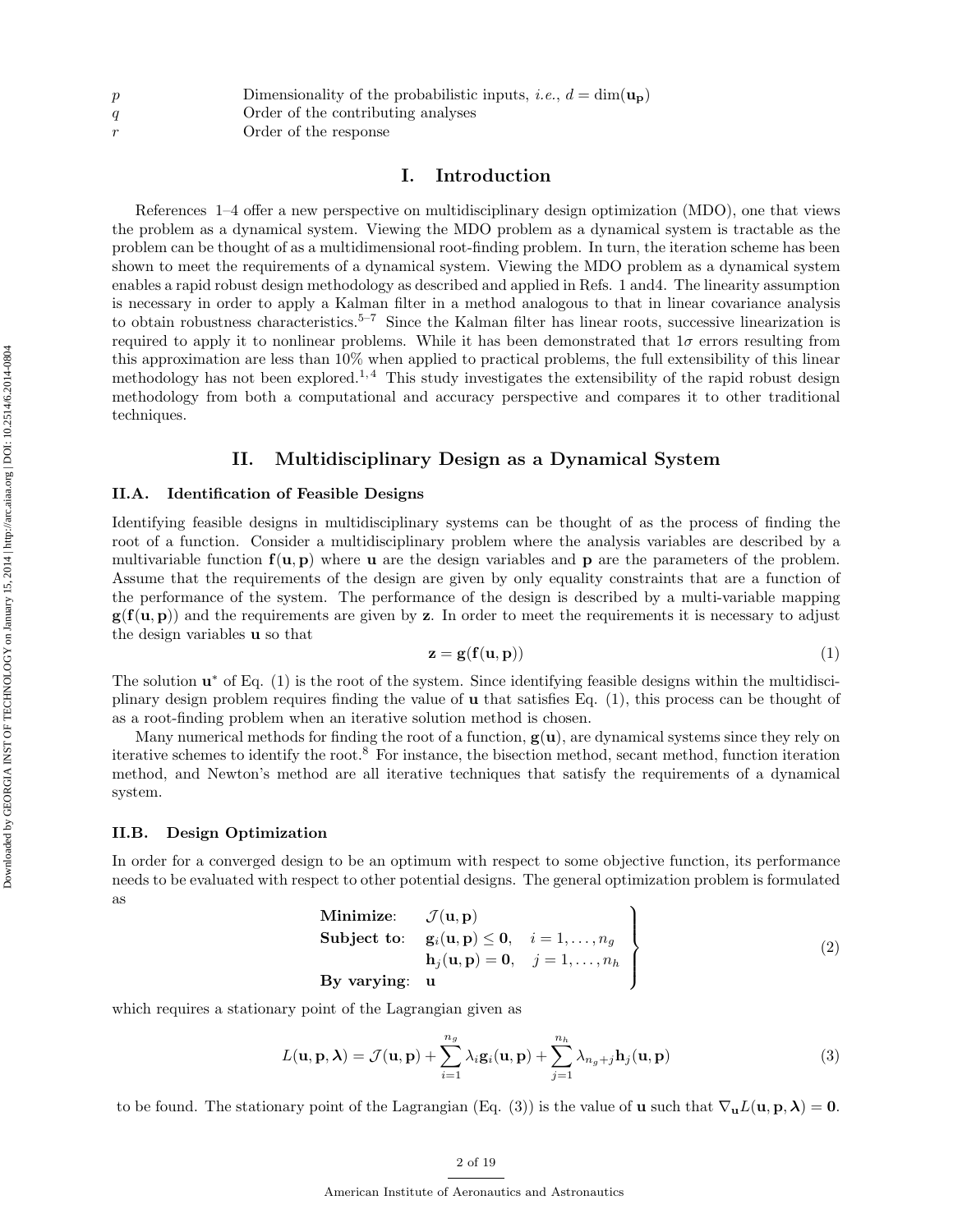|   | Dimensionality of the probabilistic inputs, <i>i.e.</i> , $d = \dim(\mathbf{u_p})$ |
|---|------------------------------------------------------------------------------------|
| a | Order of the contributing analyses                                                 |
|   | Order of the response                                                              |

## I. Introduction

References 1–4 offer a new perspective on multidisciplinary design optimization (MDO), one that views the problem as a dynamical system. Viewing the MDO problem as a dynamical system is tractable as the problem can be thought of as a multidimensional root-finding problem. In turn, the iteration scheme has been shown to meet the requirements of a dynamical system. Viewing the MDO problem as a dynamical system enables a rapid robust design methodology as described and applied in Refs. 1 and4. The linearity assumption is necessary in order to apply a Kalman filter in a method analogous to that in linear covariance analysis to obtain robustness characteristics.5–7 Since the Kalman filter has linear roots, successive linearization is required to apply it to nonlinear problems. While it has been demonstrated that  $1\sigma$  errors resulting from this approximation are less than 10% when applied to practical problems, the full extensibility of this linear methodology has not been explored.<sup>1,4</sup> This study investigates the extensibility of the rapid robust design methodology from both a computational and accuracy perspective and compares it to other traditional techniques.

## II. Multidisciplinary Design as a Dynamical System

## II.A. Identification of Feasible Designs

Identifying feasible designs in multidisciplinary systems can be thought of as the process of finding the root of a function. Consider a multidisciplinary problem where the analysis variables are described by a multivariable function  $f(u, p)$  where u are the design variables and p are the parameters of the problem. Assume that the requirements of the design are given by only equality constraints that are a function of the performance of the system. The performance of the design is described by a multi-variable mapping  $g(f(u, p))$  and the requirements are given by z. In order to meet the requirements it is necessary to adjust the design variables u so that

$$
\mathbf{z} = \mathbf{g}(\mathbf{f}(\mathbf{u}, \mathbf{p})) \tag{1}
$$

The solution  $\mathbf{u}^*$  of Eq. (1) is the root of the system. Since identifying feasible designs within the multidisciplinary design problem requires finding the value of u that satisfies Eq. (1), this process can be thought of as a root-finding problem when an iterative solution method is chosen.

Many numerical methods for finding the root of a function,  $g(u)$ , are dynamical systems since they rely on iterative schemes to identify the root.<sup>8</sup> For instance, the bisection method, secant method, function iteration method, and Newton's method are all iterative techniques that satisfy the requirements of a dynamical system.

#### II.B. Design Optimization

In order for a converged design to be an optimum with respect to some objective function, its performance needs to be evaluated with respect to other potential designs. The general optimization problem is formulated as

Minimize: 
$$
\mathcal{J}(\mathbf{u}, \mathbf{p})
$$
  
\nSubject to:  $\mathbf{g}_i(\mathbf{u}, \mathbf{p}) \leq \mathbf{0}, \quad i = 1, ..., n_g$   
\n $\mathbf{h}_j(\mathbf{u}, \mathbf{p}) = \mathbf{0}, \quad j = 1, ..., n_h$   
\nBy varying:  $\mathbf{u}$  (2)

which requires a stationary point of the Lagrangian given as

$$
L(\mathbf{u}, \mathbf{p}, \boldsymbol{\lambda}) = \mathcal{J}(\mathbf{u}, \mathbf{p}) + \sum_{i=1}^{n_g} \lambda_i \mathbf{g}_i(\mathbf{u}, \mathbf{p}) + \sum_{j=1}^{n_h} \lambda_{n_g + j} \mathbf{h}_j(\mathbf{u}, \mathbf{p})
$$
(3)

to be found. The stationary point of the Lagrangian (Eq. (3)) is the value of **u** such that  $\nabla_{\mathbf{u}}L(\mathbf{u}, \mathbf{p}, \boldsymbol{\lambda}) = \mathbf{0}$ .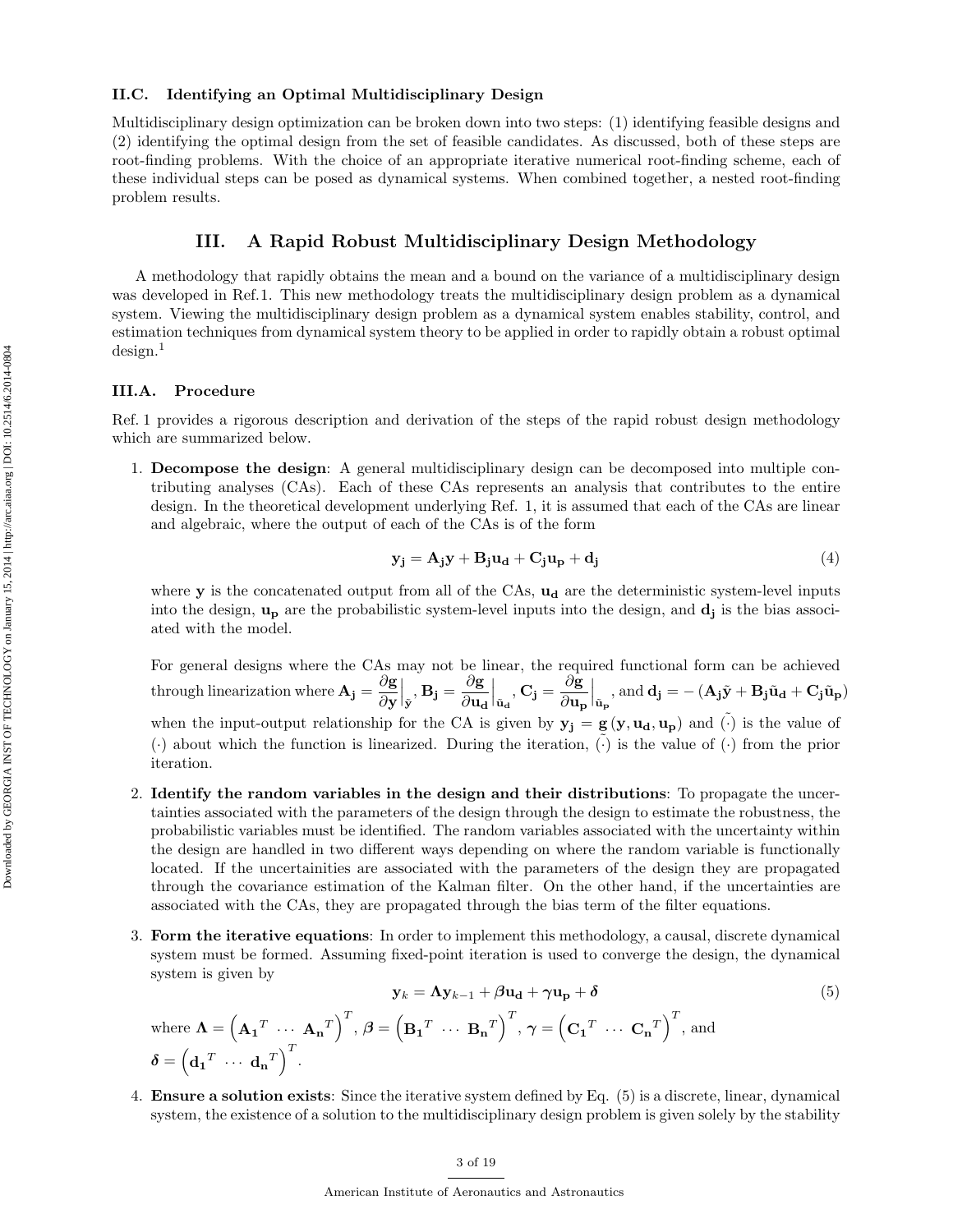## II.C. Identifying an Optimal Multidisciplinary Design

Multidisciplinary design optimization can be broken down into two steps: (1) identifying feasible designs and (2) identifying the optimal design from the set of feasible candidates. As discussed, both of these steps are root-finding problems. With the choice of an appropriate iterative numerical root-finding scheme, each of these individual steps can be posed as dynamical systems. When combined together, a nested root-finding problem results.

## III. A Rapid Robust Multidisciplinary Design Methodology

A methodology that rapidly obtains the mean and a bound on the variance of a multidisciplinary design was developed in Ref.1. This new methodology treats the multidisciplinary design problem as a dynamical system. Viewing the multidisciplinary design problem as a dynamical system enables stability, control, and estimation techniques from dynamical system theory to be applied in order to rapidly obtain a robust optimal design.<sup>1</sup>

## III.A. Procedure

 $\boldsymbol{\delta} = \left(\mathbf{d_1}^T \ \cdots \ \mathbf{d_n}^T\right)^T$ .

Ref. 1 provides a rigorous description and derivation of the steps of the rapid robust design methodology which are summarized below.

1. Decompose the design: A general multidisciplinary design can be decomposed into multiple contributing analyses (CAs). Each of these CAs represents an analysis that contributes to the entire design. In the theoretical development underlying Ref. 1, it is assumed that each of the CAs are linear and algebraic, where the output of each of the CAs is of the form

$$
\mathbf{y_j} = \mathbf{A_j} \mathbf{y} + \mathbf{B_j} \mathbf{u_d} + \mathbf{C_j} \mathbf{u_p} + \mathbf{d_j}
$$
 (4)

where  $\mathbf y$  is the concatenated output from all of the CAs,  $\mathbf u_d$  are the deterministic system-level inputs into the design,  $\mathbf{u}_{\mathbf{p}}$  are the probabilistic system-level inputs into the design, and  $\mathbf{d}_{\mathbf{j}}$  is the bias associated with the model.

For general designs where the CAs may not be linear, the required functional form can be achieved through linearization where  $\mathbf{A}_j = \frac{\partial \mathbf{g}}{\partial x_j}$ ∂y  $\overline{\mathbf{g}}$ ,  $\mathbf{B_j} = \frac{\partial \mathbf{g}}{\partial \mathbf{u_c}}$  $\partial \mathbf{u_d}$  $\Big|_{\tilde{\mathbf{u}}_{\mathbf{d}}}, \mathbf{C}_{\mathbf{j}} = \frac{\partial \mathbf{g}}{\partial \mathbf{u}_{\mathbf{p}}}$  $\partial \mathbf{u_{p}}$  $\int_{\tilde{\mathbf{u}}_{\mathbf{p}}}\text{, and }\mathbf{d}_{\mathbf{j}}=-(\mathbf{A}_{\mathbf{j}}\tilde{\mathbf{y}}+\mathbf{B}_{\mathbf{j}}\tilde{\mathbf{u}}_{\mathbf{d}}+\mathbf{C}_{\mathbf{j}}\tilde{\mathbf{u}}_{\mathbf{p}})$ when the input-output relationship for the CA is given by  $y_j = g(y, u_d, u_p)$  and  $\tilde{(\cdot)}$  is the value of  $(\cdot)$  about which the function is linearized. During the iteration,  $(\cdot)$  is the value of  $(\cdot)$  from the prior iteration.

- 2. Identify the random variables in the design and their distributions: To propagate the uncertainties associated with the parameters of the design through the design to estimate the robustness, the probabilistic variables must be identified. The random variables associated with the uncertainty within the design are handled in two different ways depending on where the random variable is functionally located. If the uncertainities are associated with the parameters of the design they are propagated through the covariance estimation of the Kalman filter. On the other hand, if the uncertainties are associated with the CAs, they are propagated through the bias term of the filter equations.
- 3. Form the iterative equations: In order to implement this methodology, a causal, discrete dynamical system must be formed. Assuming fixed-point iteration is used to converge the design, the dynamical system is given by

$$
\mathbf{y}_{k} = \mathbf{\Lambda} \mathbf{y}_{k-1} + \beta \mathbf{u}_{\mathbf{d}} + \gamma \mathbf{u}_{\mathbf{p}} + \delta
$$
(5)  
where  $\mathbf{\Lambda} = \left(\mathbf{A}_{1}^{T} \cdots \mathbf{A}_{\mathbf{n}}^{T}\right)^{T}, \beta = \left(\mathbf{B}_{1}^{T} \cdots \mathbf{B}_{\mathbf{n}}^{T}\right)^{T}, \gamma = \left(\mathbf{C}_{1}^{T} \cdots \mathbf{C}_{\mathbf{n}}^{T}\right)^{T}$ , and

4. Ensure a solution exists: Since the iterative system defined by Eq. (5) is a discrete, linear, dynamical system, the existence of a solution to the multidisciplinary design problem is given solely by the stability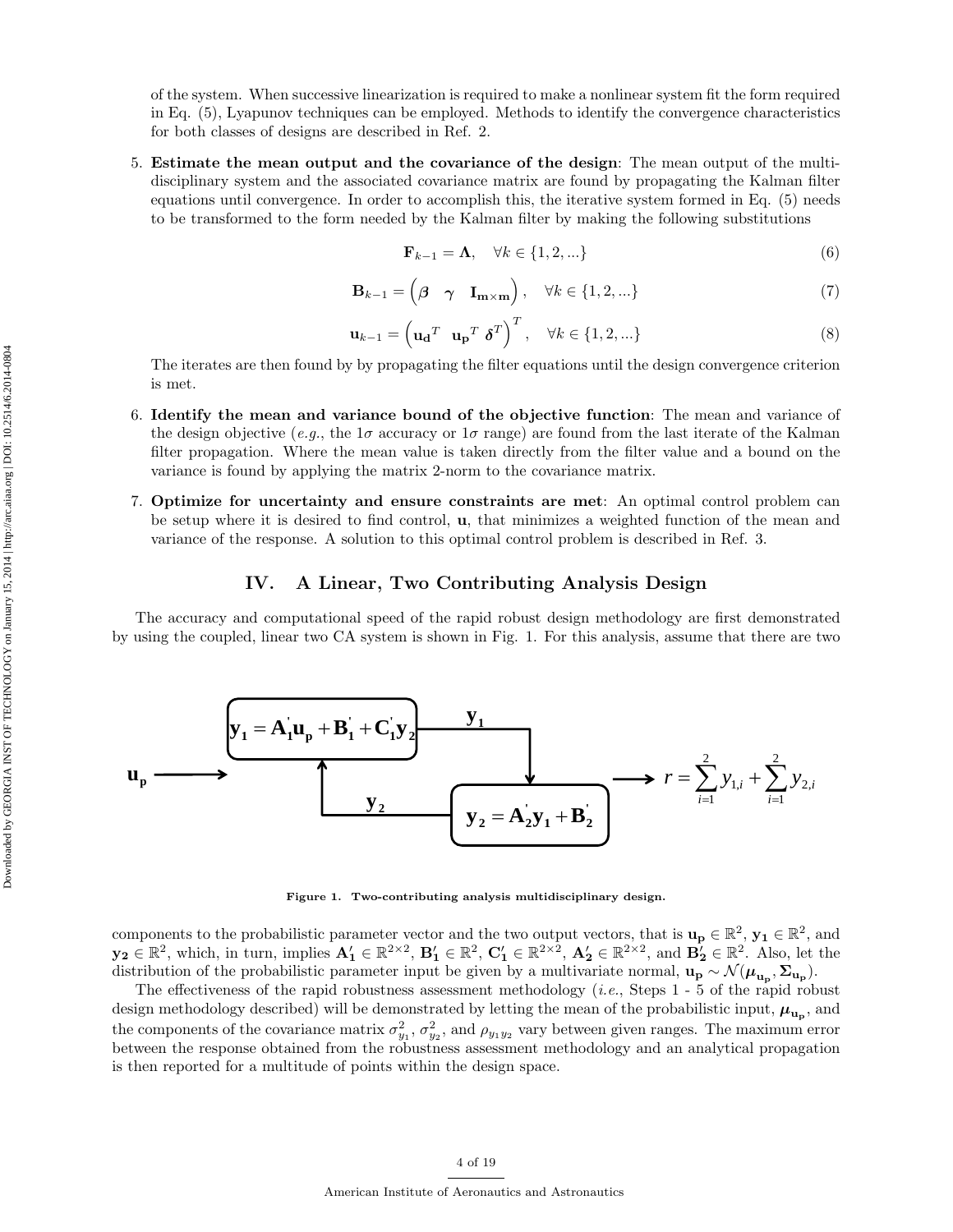of the system. When successive linearization is required to make a nonlinear system fit the form required in Eq. (5), Lyapunov techniques can be employed. Methods to identify the convergence characteristics for both classes of designs are described in Ref. 2.

5. Estimate the mean output and the covariance of the design: The mean output of the multidisciplinary system and the associated covariance matrix are found by propagating the Kalman filter equations until convergence. In order to accomplish this, the iterative system formed in Eq. (5) needs to be transformed to the form needed by the Kalman filter by making the following substitutions

$$
\mathbf{F}_{k-1} = \mathbf{\Lambda}, \quad \forall k \in \{1, 2, \ldots\} \tag{6}
$$

$$
\mathbf{B}_{k-1} = \begin{pmatrix} \beta & \gamma & \mathbf{I}_{\mathbf{m} \times \mathbf{m}} \end{pmatrix}, \quad \forall k \in \{1, 2, \ldots\} \tag{7}
$$

$$
\mathbf{u}_{k-1} = \left(\mathbf{u_d}^T \ \mathbf{u_p}^T \ \boldsymbol{\delta}^T\right)^T, \quad \forall k \in \{1, 2, \ldots\}
$$
 (8)

The iterates are then found by by propagating the filter equations until the design convergence criterion is met.

- 6. Identify the mean and variance bound of the objective function: The mean and variance of the design objective (e.g., the  $1\sigma$  accuracy or  $1\sigma$  range) are found from the last iterate of the Kalman filter propagation. Where the mean value is taken directly from the filter value and a bound on the variance is found by applying the matrix 2-norm to the covariance matrix.
- 7. Optimize for uncertainty and ensure constraints are met: An optimal control problem can be setup where it is desired to find control, u, that minimizes a weighted function of the mean and variance of the response. A solution to this optimal control problem is described in Ref. 3.

## IV. A Linear, Two Contributing Analysis Design

The accuracy and computational speed of the rapid robust design methodology are first demonstrated by using the coupled, linear two CA system is shown in Fig. 1. For this analysis, assume that there are two



Figure 1. Two-contributing analysis multidisciplinary design.

components to the probabilistic parameter vector and the two output vectors, that is  $\mathbf{u_p} \in \mathbb{R}^2$ ,  $\mathbf{y_1} \in \mathbb{R}^2$ , and  $\mathbf{y_2} \in \mathbb{R}^2$ , which, in turn, implies  $\mathbf{A}'_1 \in \mathbb{R}^{2 \times 2}$ ,  $\mathbf{B}'_1 \in \mathbb{R}^2$ ,  $\mathbf{C}'_1 \in \mathbb{R}^{2 \times 2}$ ,  $\mathbf{A}'_2 \in \mathbb{R}^{2 \times 2}$ , and  $\mathbf{B}'_2 \in \mathbb{R}^2$ . Also, let the distribution of the probabilistic parameter input be given by a multivariate normal,  $u_p \sim \mathcal{N}(\mu_{u_p}, \Sigma_{u_p})$ .

The effectiveness of the rapid robustness assessment methodology  $(i.e.,$  Steps 1 - 5 of the rapid robust design methodology described) will be demonstrated by letting the mean of the probabilistic input,  $\mu_{\mathbf{u}_{\mathbf{p}}},$  and the components of the covariance matrix  $\sigma_{y_1}^2$ ,  $\sigma_{y_2}^2$ , and  $\rho_{y_1y_2}$  vary between given ranges. The maximum error between the response obtained from the robustness assessment methodology and an analytical propagation is then reported for a multitude of points within the design space.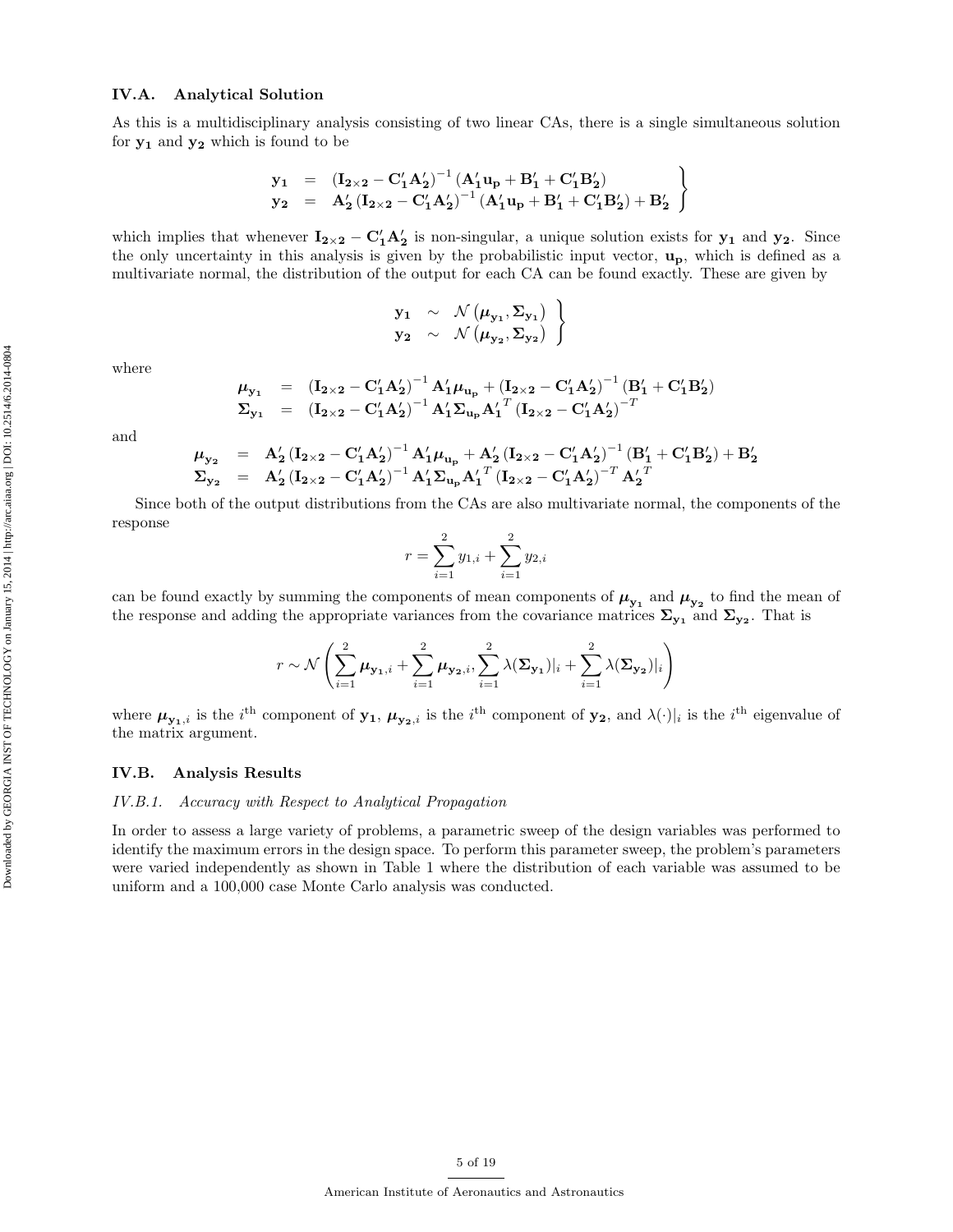## IV.A. Analytical Solution

As this is a multidisciplinary analysis consisting of two linear CAs, there is a single simultaneous solution for  $y_1$  and  $y_2$  which is found to be

$$
\left.\begin{array}{lll}y_1&=&\left({\bf I}_{2\times 2}-{\bf C}_1'A_2'\right)^{-1}\left(A_1'{\bf u}_p+B_1'+{\bf C}_1'B_2'\right)\\ y_2&=&A_2'\left({\bf I}_{2\times 2}-{\bf C}_1'A_2'\right)^{-1}\left(A_1'{\bf u}_p+B_1'+{\bf C}_1'B_2'\right)+B_2'\end{array}\right\}
$$

which implies that whenever  $I_{2\times 2} - C'_1 A'_2$  is non-singular, a unique solution exists for  $y_1$  and  $y_2$ . Since the only uncertainty in this analysis is given by the probabilistic input vector,  $\mathbf{u}_{\mathbf{p}}$ , which is defined as a multivariate normal, the distribution of the output for each CA can be found exactly. These are given by

$$
\begin{array}{ccc}\n\mathbf{y_1} & \sim & \mathcal{N}(\mu_{\mathbf{y_1}}, \Sigma_{\mathbf{y_1}}) \\
\mathbf{y_2} & \sim & \mathcal{N}(\mu_{\mathbf{y_2}}, \Sigma_{\mathbf{y_2}})\n\end{array}
$$

where

$$
\mu_{y_1} = (I_{2\times 2} - C'_1 A'_2)^{-1} A'_1 \mu_{u_p} + (I_{2\times 2} - C'_1 A'_2)^{-1} (B'_1 + C'_1 B'_2)
$$
  
\n
$$
\Sigma_{y_1} = (I_{2\times 2} - C'_1 A'_2)^{-1} A'_1 \Sigma_{u_p} A'_1{}^T (I_{2\times 2} - C'_1 A'_2)^{-T}
$$

and

$$
\begin{array}{lll} \mu_{y_2} &=& A_2' \left( \mathbf{I}_{2 \times 2} - \mathbf{C}_1' \mathbf{A}_2' \right)^{-1} \mathbf{A}_1' \mu_{\mathbf{u}_p} + \mathbf{A}_2' \left( \mathbf{I}_{2 \times 2} - \mathbf{C}_1' \mathbf{A}_2' \right)^{-1} \left( \mathbf{B}_1' + \mathbf{C}_1' \mathbf{B}_2' \right) + \mathbf{B}_2' \\ \Sigma_{y_2} &=& A_2' \left( \mathbf{I}_{2 \times 2} - \mathbf{C}_1' \mathbf{A}_2' \right)^{-1} \mathbf{A}_1' \Sigma_{\mathbf{u}_p} \mathbf{A}_1'^T \left( \mathbf{I}_{2 \times 2} - \mathbf{C}_1' \mathbf{A}_2' \right)^{-T} \mathbf{A}_2'^T \end{array}
$$

Since both of the output distributions from the CAs are also multivariate normal, the components of the response

$$
r = \sum_{i=1}^{2} y_{1,i} + \sum_{i=1}^{2} y_{2,i}
$$

can be found exactly by summing the components of mean components of  $\mu_{y_1}$  and  $\mu_{y_2}$  to find the mean of the response and adding the appropriate variances from the covariance matrices  $\Sigma_{y_1}$  and  $\Sigma_{y_2}$ . That is

$$
r \sim \mathcal{N}\left(\sum_{i=1}^2 \mu_{\mathbf{y_1},i} + \sum_{i=1}^2 \mu_{\mathbf{y_2},i}, \sum_{i=1}^2 \lambda(\mathbf{\Sigma}_{\mathbf{y_1}})|_i + \sum_{i=1}^2 \lambda(\mathbf{\Sigma}_{\mathbf{y_2}})|_i\right)
$$

where  $\mu_{\mathbf{y}_1,i}$  is the i<sup>th</sup> component of  $\mathbf{y}_1, \mu_{\mathbf{y}_2,i}$  is the i<sup>th</sup> component of  $\mathbf{y}_2$ , and  $\lambda(\cdot)|_i$  is the i<sup>th</sup> eigenvalue of the matrix argument.

## IV.B. Analysis Results

#### IV.B.1. Accuracy with Respect to Analytical Propagation

In order to assess a large variety of problems, a parametric sweep of the design variables was performed to identify the maximum errors in the design space. To perform this parameter sweep, the problem's parameters were varied independently as shown in Table 1 where the distribution of each variable was assumed to be uniform and a 100,000 case Monte Carlo analysis was conducted.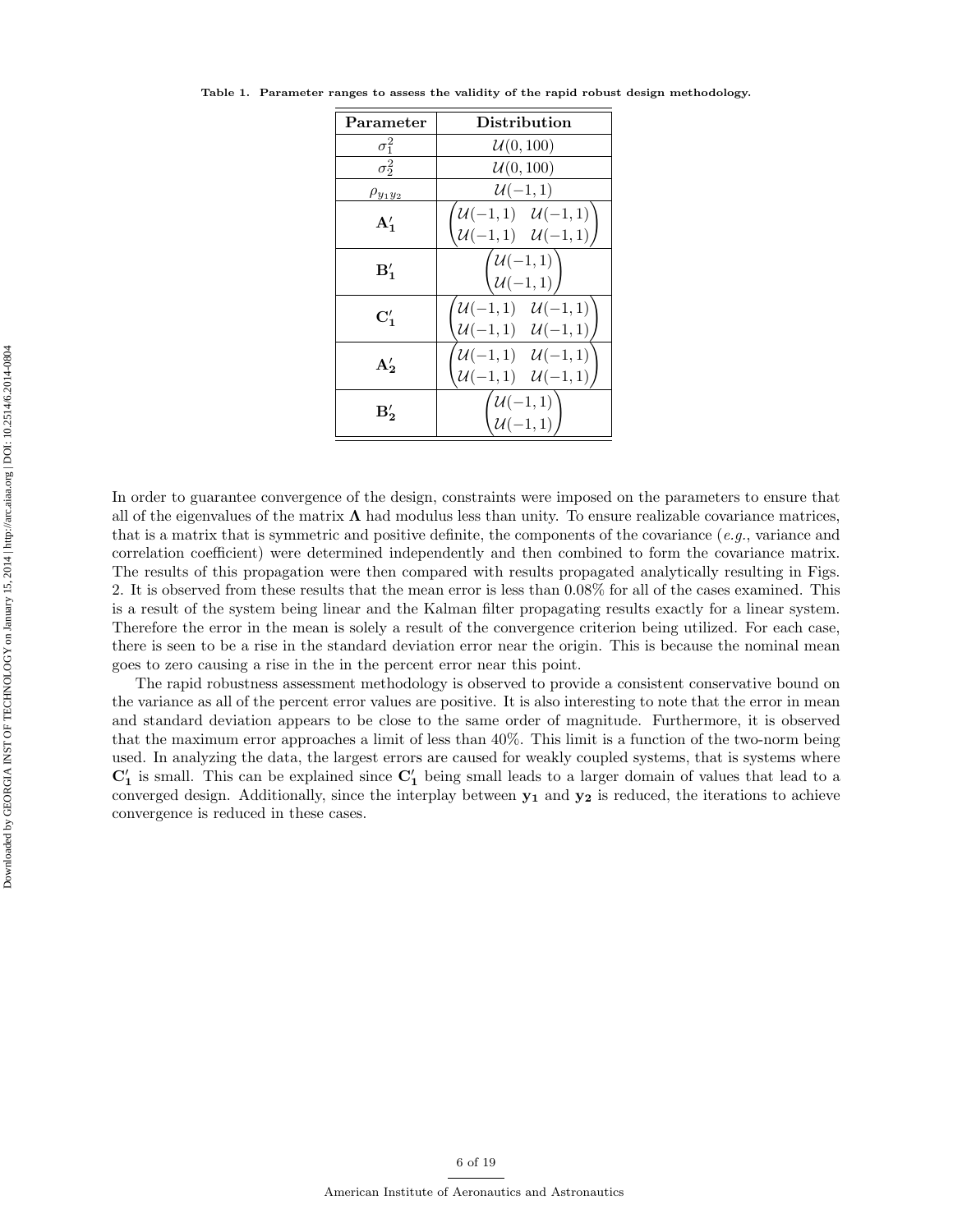| Parameter       | Distribution                                                                                                  |  |  |  |
|-----------------|---------------------------------------------------------------------------------------------------------------|--|--|--|
| $\sigma_1^2$    | U(0, 100)                                                                                                     |  |  |  |
| $\sigma_2^2$    | U(0, 100)                                                                                                     |  |  |  |
| $\rho_{y_1y_2}$ | $\mathcal{U}(-1,1)$                                                                                           |  |  |  |
| $A'_1$          | $\begin{pmatrix} \mathcal{U}(-1,1) & \mathcal{U}(-1,1) \ \mathcal{U}(-1,1) & \mathcal{U}(-1,1) \end{pmatrix}$ |  |  |  |
| $B'_{1}$        | $\left(\begin{matrix} \overline{\mathcal{U}(-1,1)} \\ \mathcal{U}(-1,1) \end{matrix}\right)$                  |  |  |  |
| $\mathbf{C}'_1$ | $\mathcal{U}(-1,1) \quad \mathcal{U}(-1,1)$<br>$\mathcal{U}(-1,1) \quad \mathcal{U}(-1,1)$                    |  |  |  |
| $A'_{2}$        | $\mathcal{U}(-1,1) \quad \mathcal{U}(-1,1)$<br>$\mathcal{U}(-1,1) \quad \mathcal{U}(-1,1)$                    |  |  |  |
| $B'_{2}$        | $\left\{\begin{matrix} \mathcal{U}(-1,1) \ \mathcal{U}(-1,1) \end{matrix} \right\}$                           |  |  |  |

Table 1. Parameter ranges to assess the validity of the rapid robust design methodology.

In order to guarantee convergence of the design, constraints were imposed on the parameters to ensure that all of the eigenvalues of the matrix  $\Lambda$  had modulus less than unity. To ensure realizable covariance matrices, that is a matrix that is symmetric and positive definite, the components of the covariance  $(e.g.,$  variance and correlation coefficient) were determined independently and then combined to form the covariance matrix. The results of this propagation were then compared with results propagated analytically resulting in Figs. 2. It is observed from these results that the mean error is less than 0.08% for all of the cases examined. This is a result of the system being linear and the Kalman filter propagating results exactly for a linear system. Therefore the error in the mean is solely a result of the convergence criterion being utilized. For each case, there is seen to be a rise in the standard deviation error near the origin. This is because the nominal mean goes to zero causing a rise in the in the percent error near this point.

The rapid robustness assessment methodology is observed to provide a consistent conservative bound on the variance as all of the percent error values are positive. It is also interesting to note that the error in mean and standard deviation appears to be close to the same order of magnitude. Furthermore, it is observed that the maximum error approaches a limit of less than 40%. This limit is a function of the two-norm being used. In analyzing the data, the largest errors are caused for weakly coupled systems, that is systems where  $\mathbb{C}'_1$  is small. This can be explained since  $\mathbb{C}'_1$  being small leads to a larger domain of values that lead to a converged design. Additionally, since the interplay between  $y_1$  and  $y_2$  is reduced, the iterations to achieve convergence is reduced in these cases.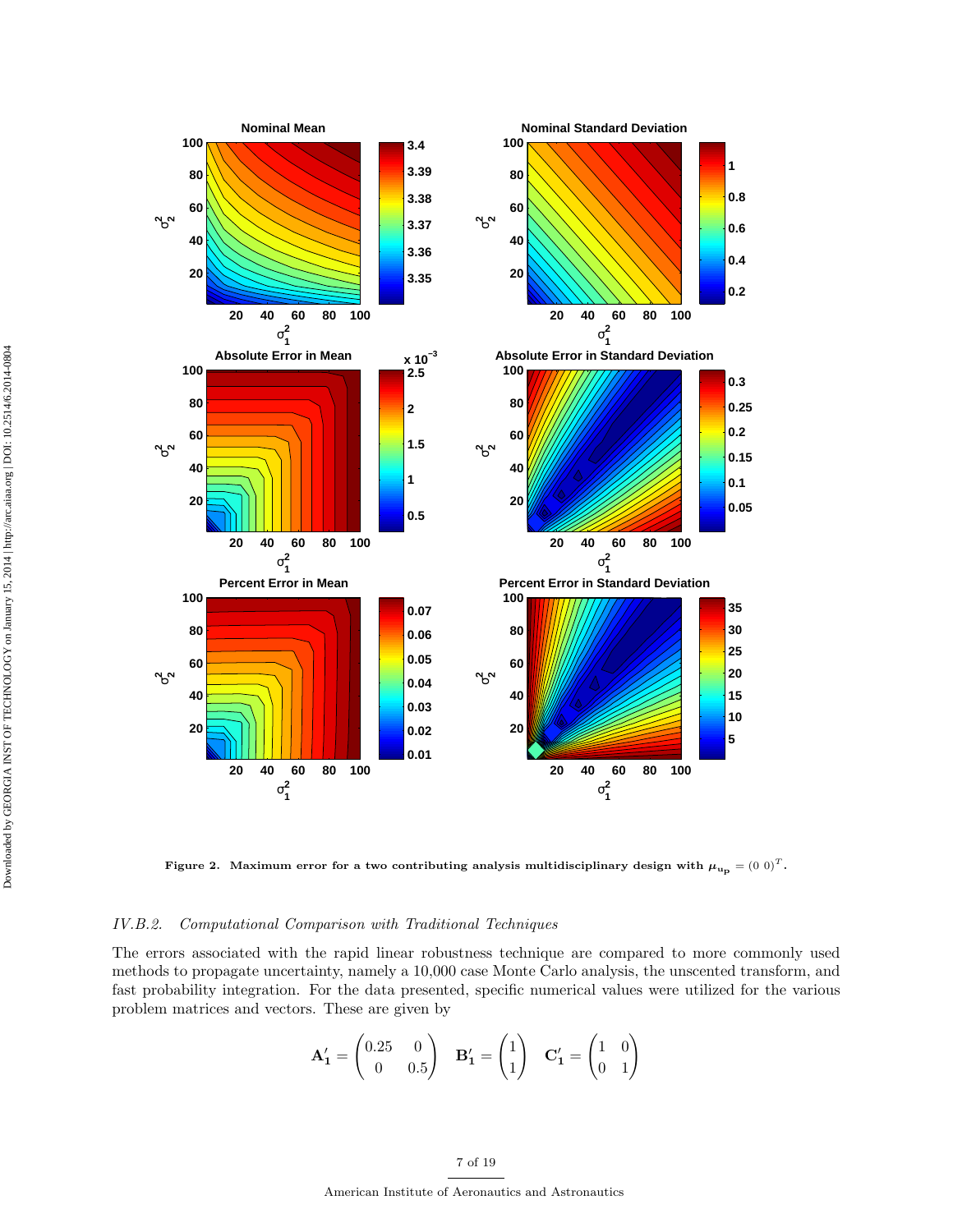

Figure 2. Maximum error for a two contributing analysis multidisciplinary design with  $\mu_{u_p} = (0 \ 0)^T$ .

## IV.B.2. Computational Comparison with Traditional Techniques

The errors associated with the rapid linear robustness technique are compared to more commonly used methods to propagate uncertainty, namely a 10,000 case Monte Carlo analysis, the unscented transform, and fast probability integration. For the data presented, specific numerical values were utilized for the various problem matrices and vectors. These are given by

$$
\mathbf{A}'_1 = \begin{pmatrix} 0.25 & 0 \\ 0 & 0.5 \end{pmatrix} \quad \mathbf{B}'_1 = \begin{pmatrix} 1 \\ 1 \end{pmatrix} \quad \mathbf{C}'_1 = \begin{pmatrix} 1 & 0 \\ 0 & 1 \end{pmatrix}
$$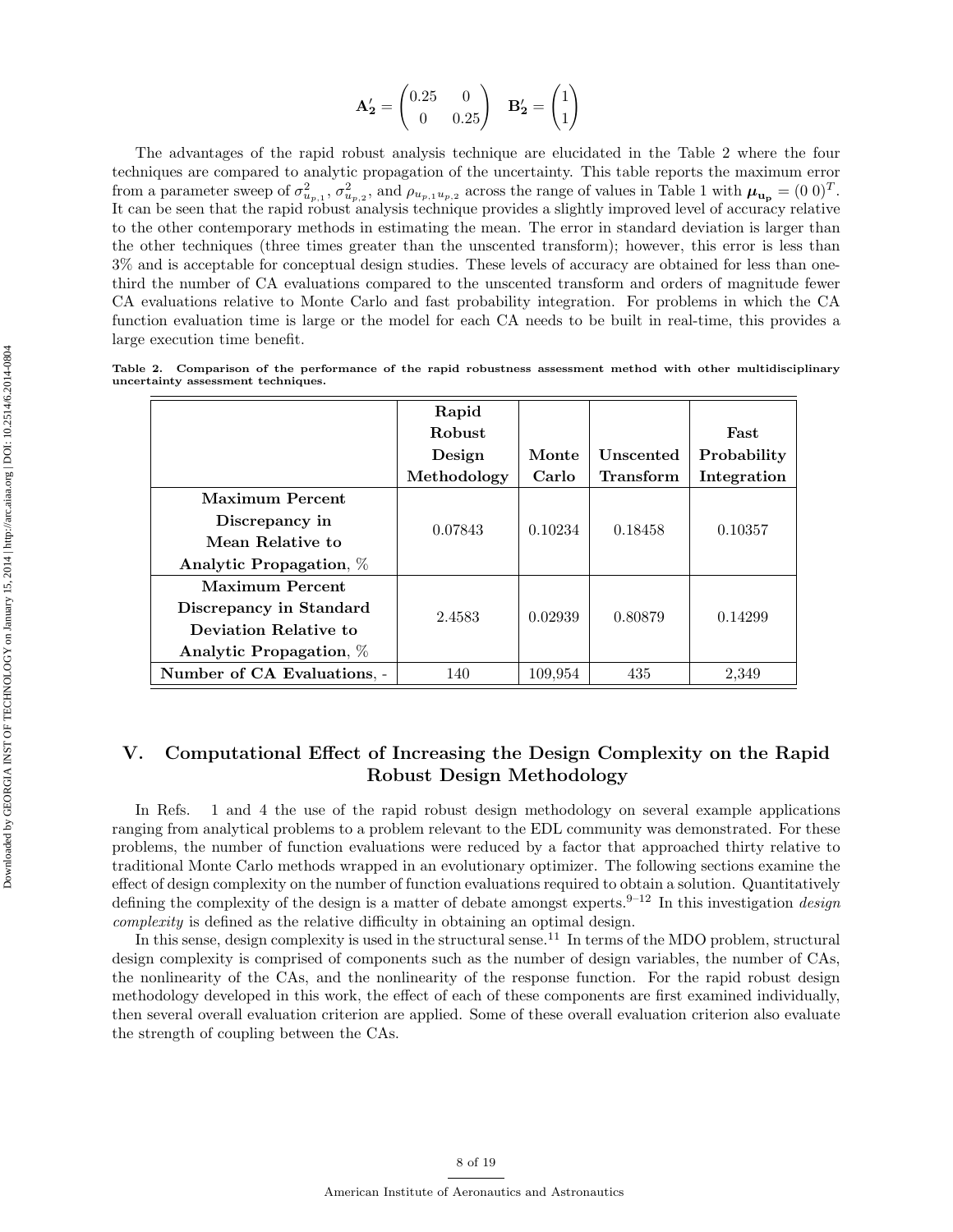$$
\mathbf{A'_2} = \begin{pmatrix} 0.25 & 0 \\ 0 & 0.25 \end{pmatrix} \quad \mathbf{B'_2} = \begin{pmatrix} 1 \\ 1 \end{pmatrix}
$$

The advantages of the rapid robust analysis technique are elucidated in the Table 2 where the four techniques are compared to analytic propagation of the uncertainty. This table reports the maximum error from a parameter sweep of  $\sigma_{u_{p,1}}^2$ ,  $\sigma_{u_{p,2}}^2$ , and  $\rho_{u_{p,1}u_{p,2}}$  across the range of values in Table 1 with  $\mu_{u_p} = (0 \ 0)^T$ . It can be seen that the rapid robust analysis technique provides a slightly improved level of accuracy relative to the other contemporary methods in estimating the mean. The error in standard deviation is larger than the other techniques (three times greater than the unscented transform); however, this error is less than 3% and is acceptable for conceptual design studies. These levels of accuracy are obtained for less than onethird the number of CA evaluations compared to the unscented transform and orders of magnitude fewer CA evaluations relative to Monte Carlo and fast probability integration. For problems in which the CA function evaluation time is large or the model for each CA needs to be built in real-time, this provides a large execution time benefit.

|                                    |  |  |  |  |  | Table 2. Comparison of the performance of the rapid robustness assessment method with other multidisciplinary |
|------------------------------------|--|--|--|--|--|---------------------------------------------------------------------------------------------------------------|
| uncertainty assessment techniques. |  |  |  |  |  |                                                                                                               |

|                             | Rapid         |         |                  |             |  |
|-----------------------------|---------------|---------|------------------|-------------|--|
|                             | <b>Robust</b> |         |                  | Fast        |  |
|                             | Design        | Monte   | Unscented        | Probability |  |
|                             | Methodology   | Carlo   | <b>Transform</b> | Integration |  |
| Maximum Percent             |               |         |                  |             |  |
| Discrepancy in              | 0.07843       | 0.10234 | 0.18458          | 0.10357     |  |
| Mean Relative to            |               |         |                  |             |  |
| Analytic Propagation, %     |               |         |                  |             |  |
| <b>Maximum Percent</b>      | 2.4583        | 0.02939 | 0.80879          | 0.14299     |  |
| Discrepancy in Standard     |               |         |                  |             |  |
| Deviation Relative to       |               |         |                  |             |  |
| Analytic Propagation, %     |               |         |                  |             |  |
| Number of CA Evaluations. - | 140           | 109,954 | 435              | 2,349       |  |

## V. Computational Effect of Increasing the Design Complexity on the Rapid Robust Design Methodology

In Refs. 1 and 4 the use of the rapid robust design methodology on several example applications ranging from analytical problems to a problem relevant to the EDL community was demonstrated. For these problems, the number of function evaluations were reduced by a factor that approached thirty relative to traditional Monte Carlo methods wrapped in an evolutionary optimizer. The following sections examine the effect of design complexity on the number of function evaluations required to obtain a solution. Quantitatively defining the complexity of the design is a matter of debate amongst experts.<sup>9–12</sup> In this investigation *design* complexity is defined as the relative difficulty in obtaining an optimal design.

In this sense, design complexity is used in the structural sense.<sup>11</sup> In terms of the MDO problem, structural design complexity is comprised of components such as the number of design variables, the number of CAs, the nonlinearity of the CAs, and the nonlinearity of the response function. For the rapid robust design methodology developed in this work, the effect of each of these components are first examined individually, then several overall evaluation criterion are applied. Some of these overall evaluation criterion also evaluate the strength of coupling between the CAs.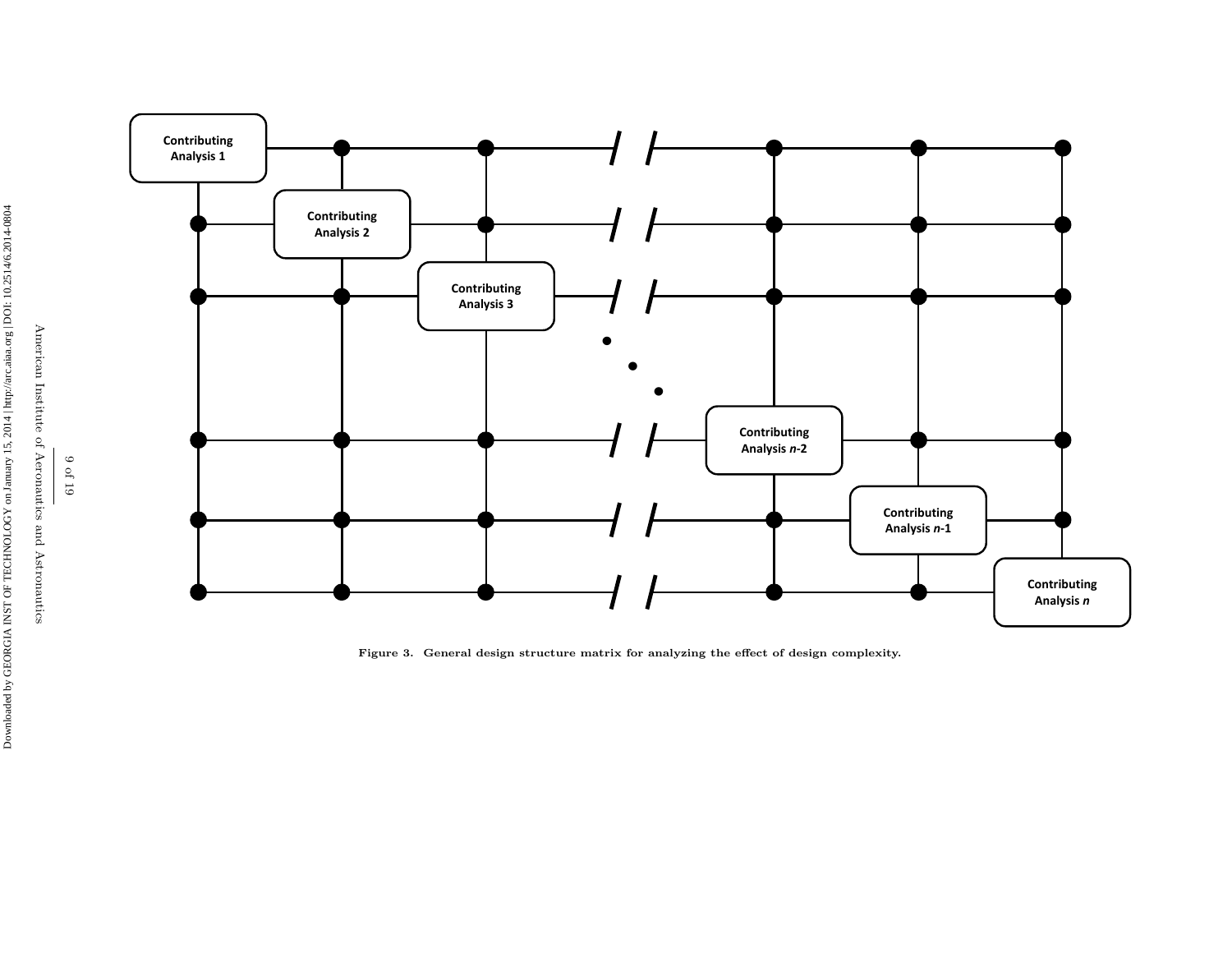

Figure 3. General design structure matrix for analyzing the effect of design complexity.

American Institute of Aeronautics and Astronautics 9 of 19

American Institute of Aeronautics and Astronautics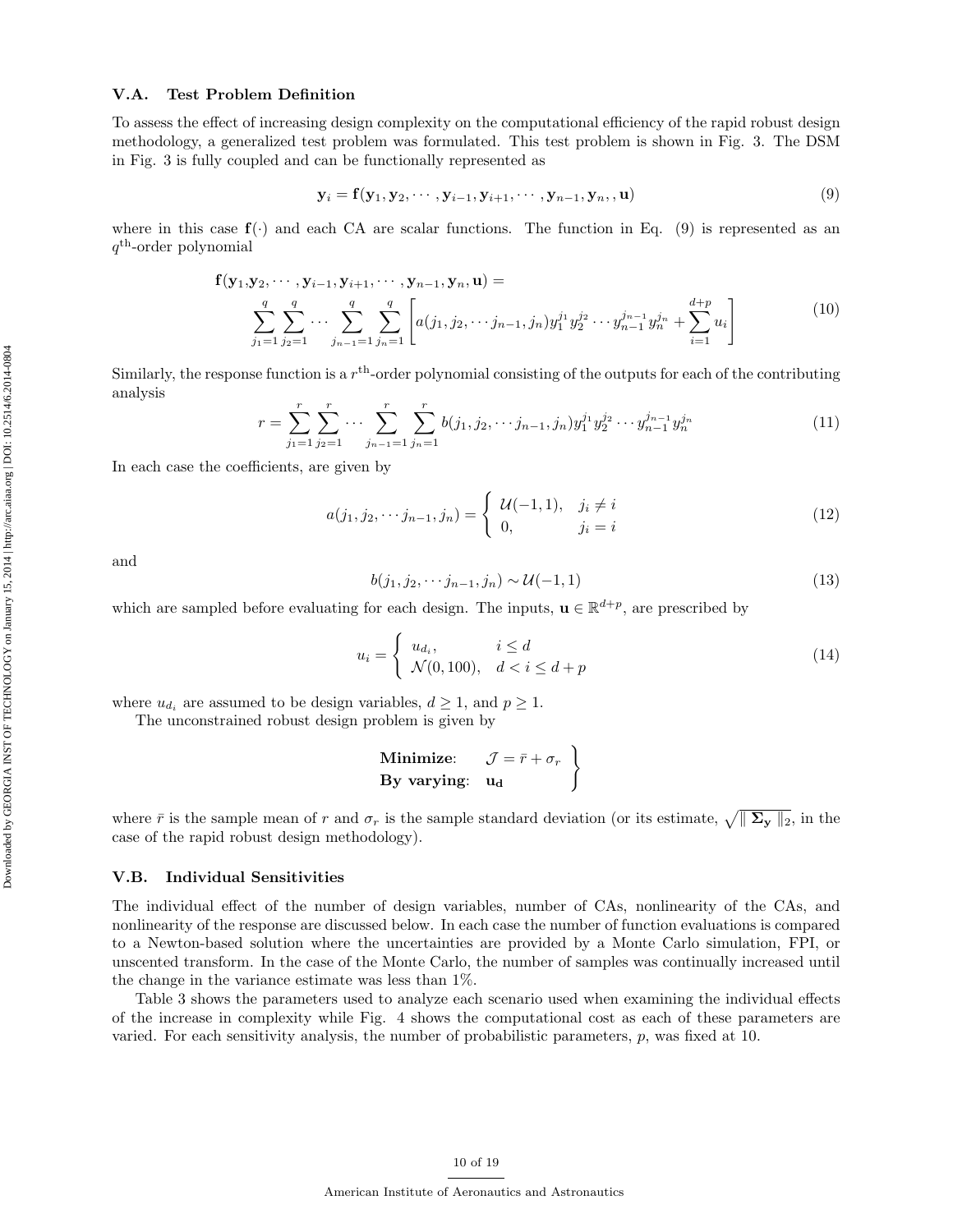## V.A. Test Problem Definition

To assess the effect of increasing design complexity on the computational efficiency of the rapid robust design methodology, a generalized test problem was formulated. This test problem is shown in Fig. 3. The DSM in Fig. 3 is fully coupled and can be functionally represented as

$$
\mathbf{y}_i = \mathbf{f}(\mathbf{y}_1, \mathbf{y}_2, \cdots, \mathbf{y}_{i-1}, \mathbf{y}_{i+1}, \cdots, \mathbf{y}_{n-1}, \mathbf{y}_n, \mathbf{u})
$$
(9)

where in this case  $f(\cdot)$  and each CA are scalar functions. The function in Eq. (9) is represented as an q th-order polynomial

$$
\mathbf{f}(\mathbf{y}_1, \mathbf{y}_2, \cdots, \mathbf{y}_{i-1}, \mathbf{y}_{i+1}, \cdots, \mathbf{y}_{n-1}, \mathbf{y}_n, \mathbf{u}) =
$$
\n
$$
\sum_{j_1=1}^q \sum_{j_2=1}^q \cdots \sum_{j_{n-1}=1}^q \sum_{j_n=1}^q \left[ a(j_1, j_2, \cdots j_{n-1}, j_n) y_1^{j_1} y_2^{j_2} \cdots y_{n-1}^{j_{n-1}} y_n^{j_n} + \sum_{i=1}^{d+p} u_i \right]
$$
\n(10)

Similarly, the response function is a  $r<sup>th</sup>$ -order polynomial consisting of the outputs for each of the contributing analysis

$$
r = \sum_{j_1=1}^r \sum_{j_2=1}^r \cdots \sum_{j_{n-1}=1}^r \sum_{j_n=1}^r b(j_1, j_2, \cdots j_{n-1}, j_n) y_1^{j_1} y_2^{j_2} \cdots y_{n-1}^{j_{n-1}} y_n^{j_n}
$$
(11)

In each case the coefficients, are given by

$$
a(j_1, j_2, \cdots j_{n-1}, j_n) = \begin{cases} \mathcal{U}(-1, 1), & j_i \neq i \\ 0, & j_i = i \end{cases}
$$
 (12)

and

$$
b(j_1, j_2, \cdots j_{n-1}, j_n) \sim \mathcal{U}(-1, 1) \tag{13}
$$

which are sampled before evaluating for each design. The inputs,  $\mathbf{u} \in \mathbb{R}^{d+p}$ , are prescribed by

$$
u_i = \begin{cases} u_{d_i}, & i \le d \\ \mathcal{N}(0, 100), & d < i \le d + p \end{cases}
$$
\n
$$
(14)
$$

where  $u_{d_i}$  are assumed to be design variables,  $d \geq 1$ , and  $p \geq 1$ .

The unconstrained robust design problem is given by

Minimize: 
$$
\mathcal{J} = \bar{r} + \sigma_r
$$
  
By varying:  $u_d$ 

where  $\bar{r}$  is the sample mean of r and  $\sigma_r$  is the sample standard deviation (or its estimate,  $\sqrt{\|\mathbf{\Sigma_y}\|_2}$ , in the case of the rapid robust design methodology).

#### V.B. Individual Sensitivities

The individual effect of the number of design variables, number of CAs, nonlinearity of the CAs, and nonlinearity of the response are discussed below. In each case the number of function evaluations is compared to a Newton-based solution where the uncertainties are provided by a Monte Carlo simulation, FPI, or unscented transform. In the case of the Monte Carlo, the number of samples was continually increased until the change in the variance estimate was less than 1%.

Table 3 shows the parameters used to analyze each scenario used when examining the individual effects of the increase in complexity while Fig. 4 shows the computational cost as each of these parameters are varied. For each sensitivity analysis, the number of probabilistic parameters,  $p$ , was fixed at 10.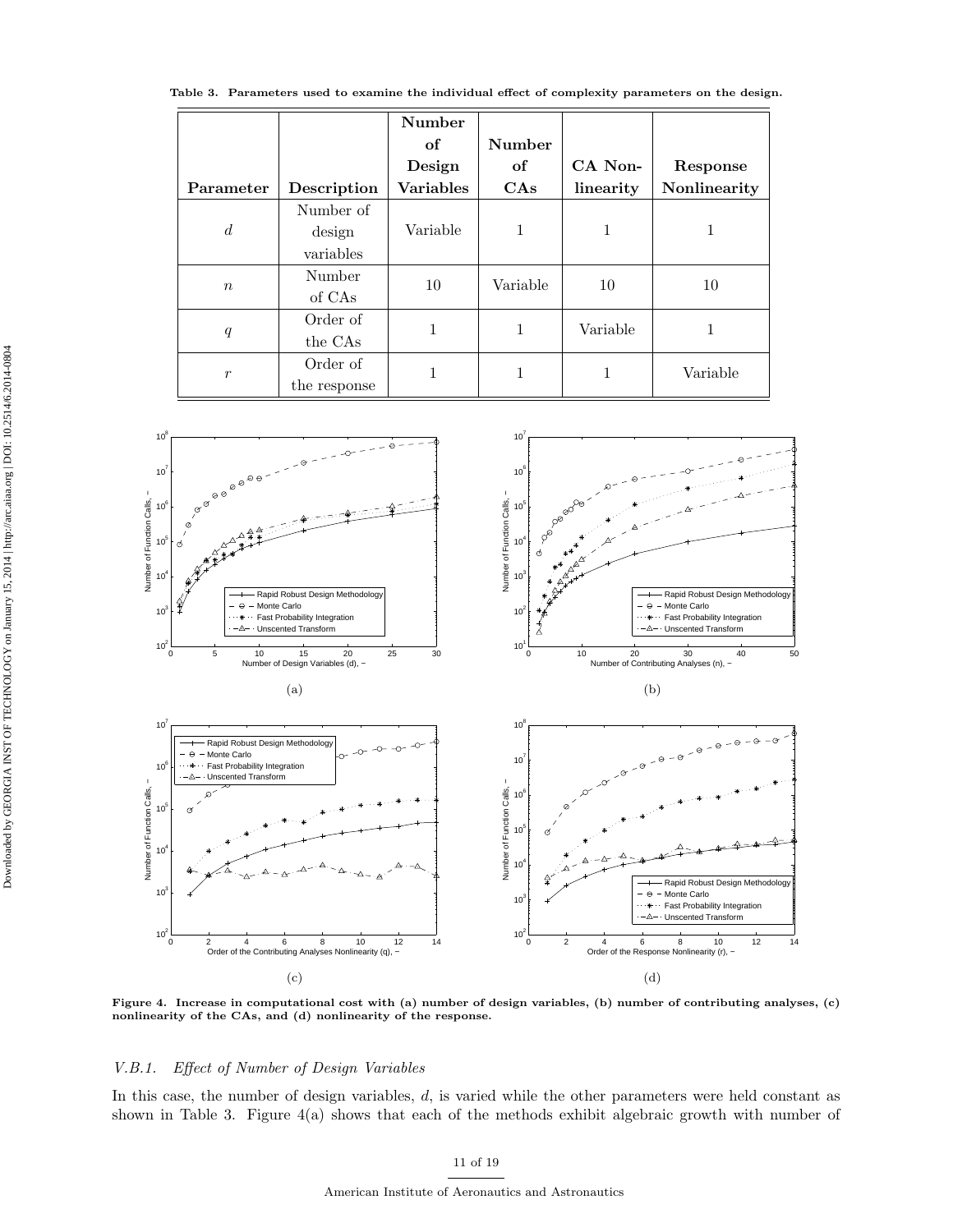Table 3. Parameters used to examine the individual effect of complexity parameters on the design.

|                  |              | Number<br>of     | Number   |           |              |  |
|------------------|--------------|------------------|----------|-----------|--------------|--|
|                  |              | Design           | of       | CA Non-   | Response     |  |
| Parameter        | Description  | <b>Variables</b> | CAs      | linearity | Nonlinearity |  |
|                  | Number of    |                  |          |           |              |  |
| $\overline{d}$   | design       | Variable         | 1        | 1         | 1            |  |
|                  | variables    |                  |          |           |              |  |
| $\boldsymbol{n}$ | Number       | 10               | Variable | 10        | 10           |  |
|                  | of CAs       |                  |          |           |              |  |
|                  | Order of     | 1                |          | Variable  | 1            |  |
| q                | the CAs      |                  |          |           |              |  |
| $\boldsymbol{r}$ | Order of     | 1                |          | 1         | Variable     |  |
|                  | the response |                  |          |           |              |  |



Figure 4. Increase in computational cost with (a) number of design variables, (b) number of contributing analyses, (c) nonlinearity of the CAs, and (d) nonlinearity of the response.

## V.B.1. Effect of Number of Design Variables

In this case, the number of design variables, d, is varied while the other parameters were held constant as shown in Table 3. Figure 4(a) shows that each of the methods exhibit algebraic growth with number of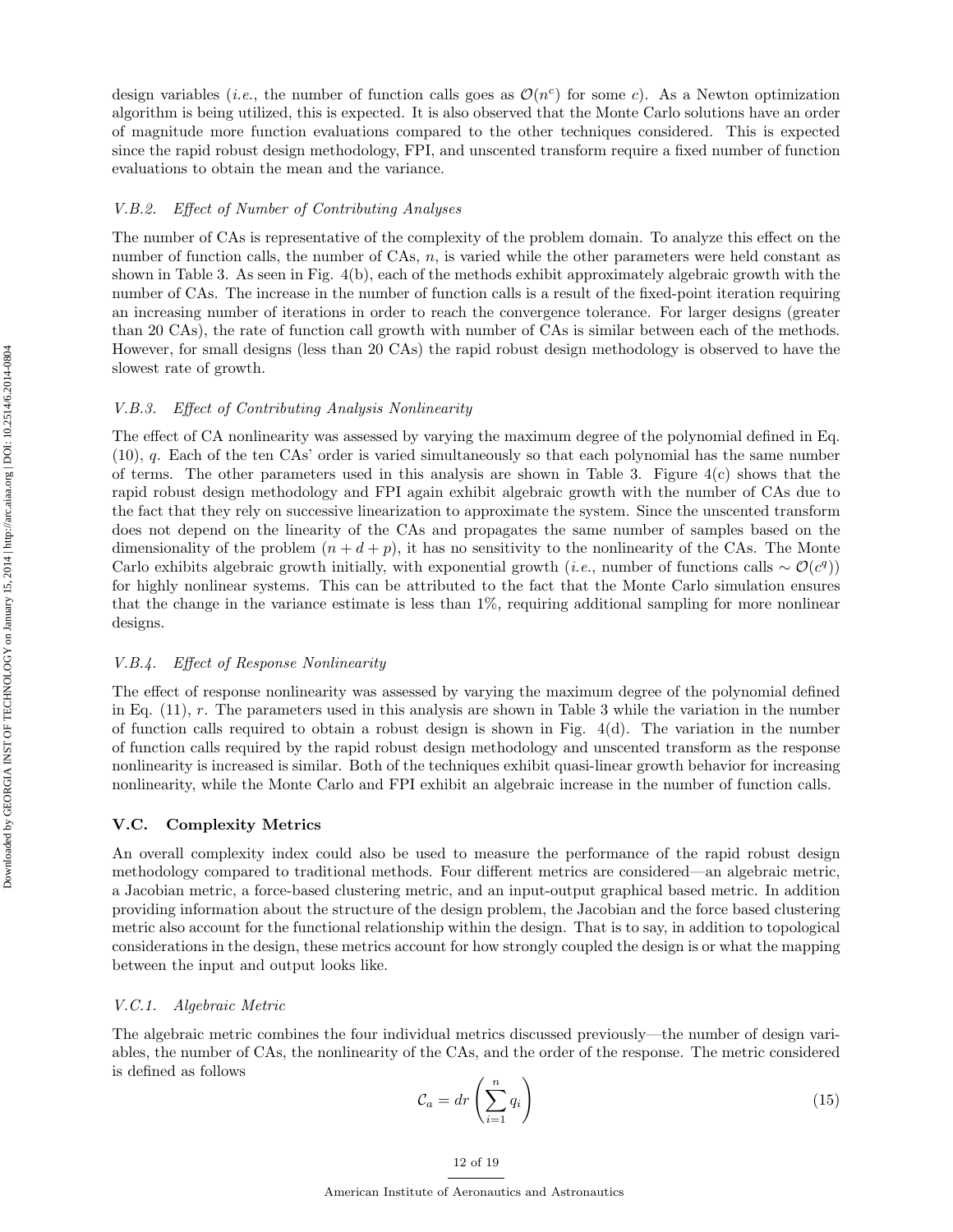design variables (*i.e.*, the number of function calls goes as  $\mathcal{O}(n^c)$  for some c). As a Newton optimization algorithm is being utilized, this is expected. It is also observed that the Monte Carlo solutions have an order of magnitude more function evaluations compared to the other techniques considered. This is expected since the rapid robust design methodology, FPI, and unscented transform require a fixed number of function evaluations to obtain the mean and the variance.

## V.B.2. Effect of Number of Contributing Analyses

The number of CAs is representative of the complexity of the problem domain. To analyze this effect on the number of function calls, the number of CAs, n, is varied while the other parameters were held constant as shown in Table 3. As seen in Fig. 4(b), each of the methods exhibit approximately algebraic growth with the number of CAs. The increase in the number of function calls is a result of the fixed-point iteration requiring an increasing number of iterations in order to reach the convergence tolerance. For larger designs (greater than 20 CAs), the rate of function call growth with number of CAs is similar between each of the methods. However, for small designs (less than 20 CAs) the rapid robust design methodology is observed to have the slowest rate of growth.

## V.B.3. Effect of Contributing Analysis Nonlinearity

The effect of CA nonlinearity was assessed by varying the maximum degree of the polynomial defined in Eq. (10), q. Each of the ten CAs' order is varied simultaneously so that each polynomial has the same number of terms. The other parameters used in this analysis are shown in Table 3. Figure  $4(c)$  shows that the rapid robust design methodology and FPI again exhibit algebraic growth with the number of CAs due to the fact that they rely on successive linearization to approximate the system. Since the unscented transform does not depend on the linearity of the CAs and propagates the same number of samples based on the dimensionality of the problem  $(n + d + p)$ , it has no sensitivity to the nonlinearity of the CAs. The Monte Carlo exhibits algebraic growth initially, with exponential growth (*i.e.*, number of functions calls  $\sim \mathcal{O}(c^q)$ ) for highly nonlinear systems. This can be attributed to the fact that the Monte Carlo simulation ensures that the change in the variance estimate is less than 1%, requiring additional sampling for more nonlinear designs.

#### V.B.4. Effect of Response Nonlinearity

The effect of response nonlinearity was assessed by varying the maximum degree of the polynomial defined in Eq.  $(11)$ , r. The parameters used in this analysis are shown in Table 3 while the variation in the number of function calls required to obtain a robust design is shown in Fig. 4(d). The variation in the number of function calls required by the rapid robust design methodology and unscented transform as the response nonlinearity is increased is similar. Both of the techniques exhibit quasi-linear growth behavior for increasing nonlinearity, while the Monte Carlo and FPI exhibit an algebraic increase in the number of function calls.

#### V.C. Complexity Metrics

An overall complexity index could also be used to measure the performance of the rapid robust design methodology compared to traditional methods. Four different metrics are considered—an algebraic metric, a Jacobian metric, a force-based clustering metric, and an input-output graphical based metric. In addition providing information about the structure of the design problem, the Jacobian and the force based clustering metric also account for the functional relationship within the design. That is to say, in addition to topological considerations in the design, these metrics account for how strongly coupled the design is or what the mapping between the input and output looks like.

#### V.C.1. Algebraic Metric

The algebraic metric combines the four individual metrics discussed previously—the number of design variables, the number of CAs, the nonlinearity of the CAs, and the order of the response. The metric considered is defined as follows

$$
\mathcal{C}_a = dr \left( \sum_{i=1}^n q_i \right) \tag{15}
$$

12 of 19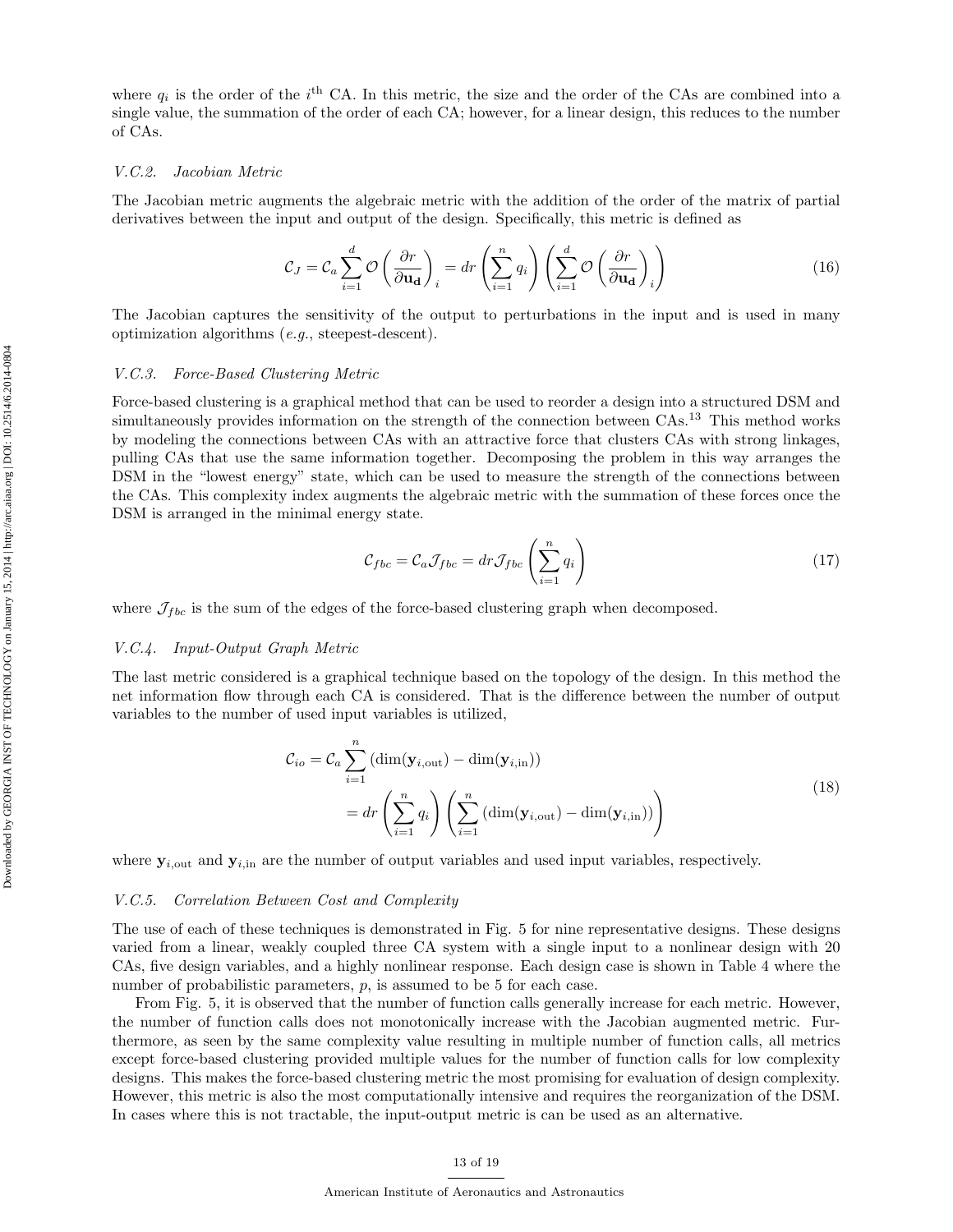where  $q_i$  is the order of the  $i^{\text{th}}$  CA. In this metric, the size and the order of the CAs are combined into a single value, the summation of the order of each CA; however, for a linear design, this reduces to the number of CAs.

#### V.C.2. Jacobian Metric

The Jacobian metric augments the algebraic metric with the addition of the order of the matrix of partial derivatives between the input and output of the design. Specifically, this metric is defined as

$$
C_J = C_a \sum_{i=1}^d \mathcal{O}\left(\frac{\partial r}{\partial \mathbf{u_d}}\right)_i = dr \left(\sum_{i=1}^n q_i\right) \left(\sum_{i=1}^d \mathcal{O}\left(\frac{\partial r}{\partial \mathbf{u_d}}\right)_i\right) \tag{16}
$$

The Jacobian captures the sensitivity of the output to perturbations in the input and is used in many optimization algorithms (e.g., steepest-descent).

#### V.C.3. Force-Based Clustering Metric

Force-based clustering is a graphical method that can be used to reorder a design into a structured DSM and simultaneously provides information on the strength of the connection between CAs.<sup>13</sup> This method works by modeling the connections between CAs with an attractive force that clusters CAs with strong linkages, pulling CAs that use the same information together. Decomposing the problem in this way arranges the DSM in the "lowest energy" state, which can be used to measure the strength of the connections between the CAs. This complexity index augments the algebraic metric with the summation of these forces once the DSM is arranged in the minimal energy state.

$$
\mathcal{C}_{fbc} = \mathcal{C}_a \mathcal{J}_{fbc} = dr \mathcal{J}_{fbc} \left( \sum_{i=1}^n q_i \right) \tag{17}
$$

where  $\mathcal{J}_{fbc}$  is the sum of the edges of the force-based clustering graph when decomposed.

#### V.C.4. Input-Output Graph Metric

The last metric considered is a graphical technique based on the topology of the design. In this method the net information flow through each CA is considered. That is the difference between the number of output variables to the number of used input variables is utilized,

$$
\mathcal{C}_{io} = \mathcal{C}_a \sum_{i=1}^n \left( \dim(\mathbf{y}_{i,\text{out}}) - \dim(\mathbf{y}_{i,\text{in}}) \right)
$$
  
= 
$$
dr \left( \sum_{i=1}^n q_i \right) \left( \sum_{i=1}^n \left( \dim(\mathbf{y}_{i,\text{out}}) - \dim(\mathbf{y}_{i,\text{in}}) \right) \right)
$$
 (18)

where  $y_{i,out}$  and  $y_{i,in}$  are the number of output variables and used input variables, respectively.

#### V.C.5. Correlation Between Cost and Complexity

The use of each of these techniques is demonstrated in Fig. 5 for nine representative designs. These designs varied from a linear, weakly coupled three CA system with a single input to a nonlinear design with 20 CAs, five design variables, and a highly nonlinear response. Each design case is shown in Table 4 where the number of probabilistic parameters, p, is assumed to be 5 for each case.

From Fig. 5, it is observed that the number of function calls generally increase for each metric. However, the number of function calls does not monotonically increase with the Jacobian augmented metric. Furthermore, as seen by the same complexity value resulting in multiple number of function calls, all metrics except force-based clustering provided multiple values for the number of function calls for low complexity designs. This makes the force-based clustering metric the most promising for evaluation of design complexity. However, this metric is also the most computationally intensive and requires the reorganization of the DSM. In cases where this is not tractable, the input-output metric is can be used as an alternative.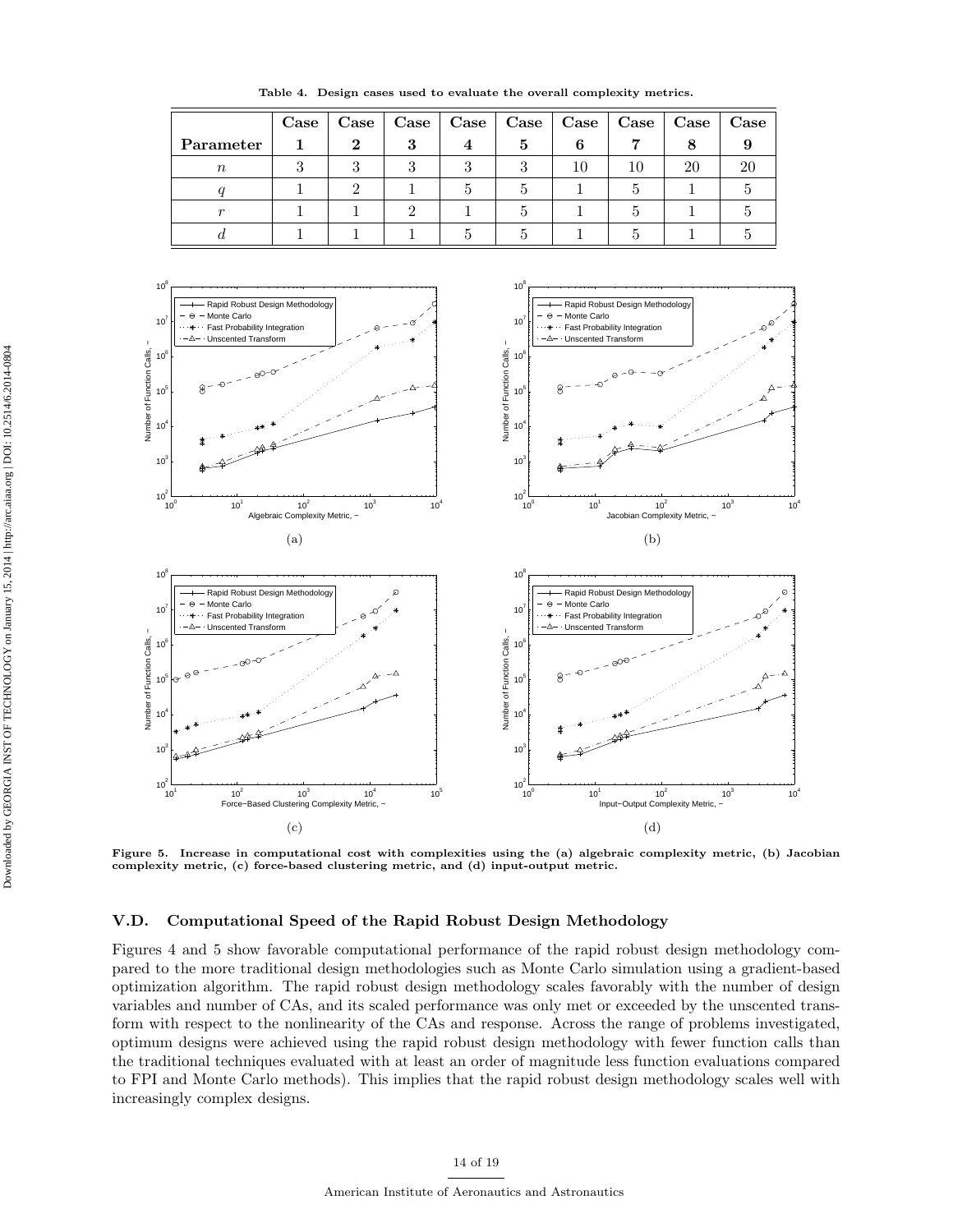Table 4. Design cases used to evaluate the overall complexity metrics.



Figure 5. Increase in computational cost with complexities using the (a) algebraic complexity metric, (b) Jacobian complexity metric, (c) force-based clustering metric, and (d) input-output metric.

## V.D. Computational Speed of the Rapid Robust Design Methodology

Figures 4 and 5 show favorable computational performance of the rapid robust design methodology compared to the more traditional design methodologies such as Monte Carlo simulation using a gradient-based optimization algorithm. The rapid robust design methodology scales favorably with the number of design variables and number of CAs, and its scaled performance was only met or exceeded by the unscented transform with respect to the nonlinearity of the CAs and response. Across the range of problems investigated, optimum designs were achieved using the rapid robust design methodology with fewer function calls than the traditional techniques evaluated with at least an order of magnitude less function evaluations compared to FPI and Monte Carlo methods). This implies that the rapid robust design methodology scales well with increasingly complex designs.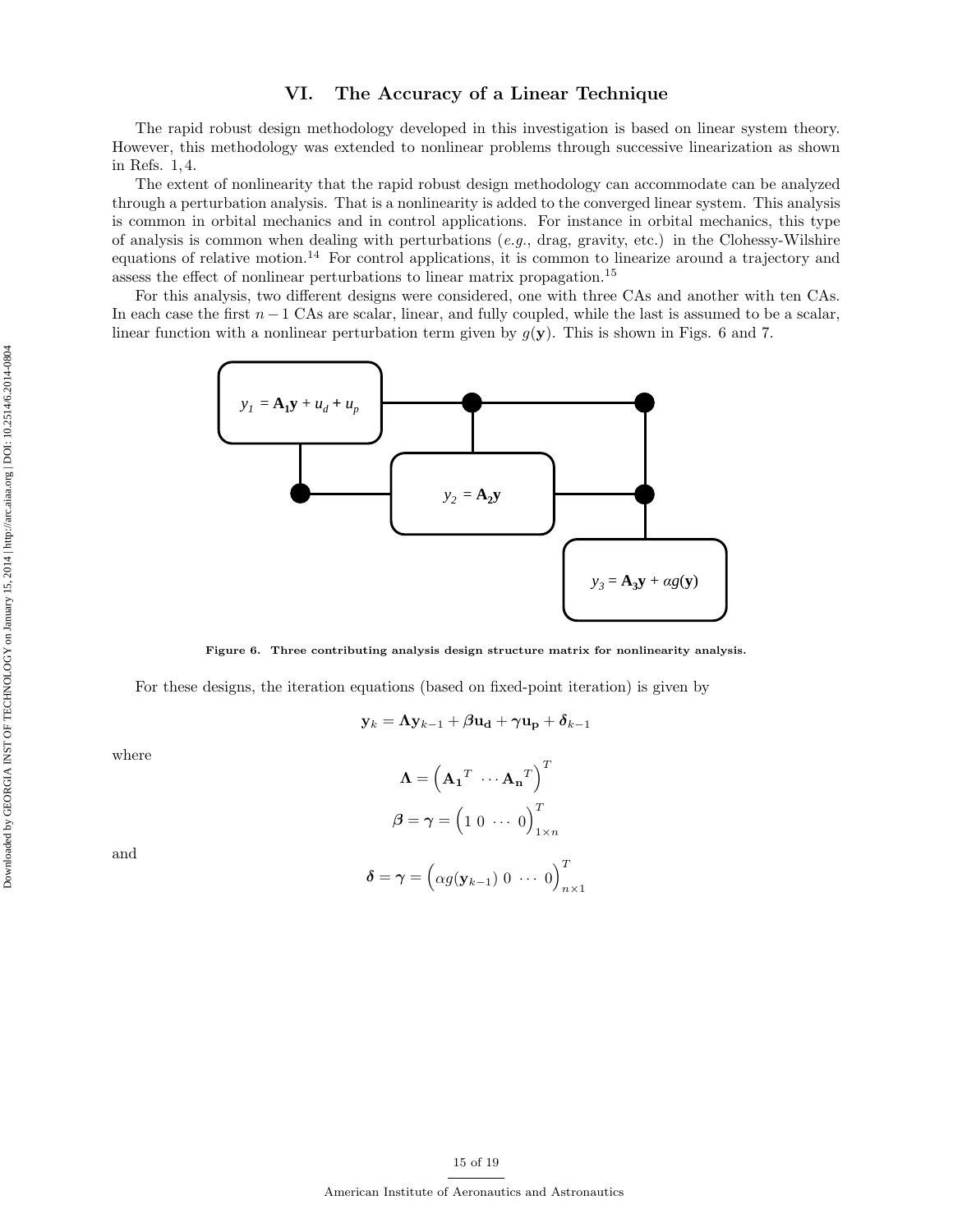## VI. The Accuracy of a Linear Technique

The rapid robust design methodology developed in this investigation is based on linear system theory. However, this methodology was extended to nonlinear problems through successive linearization as shown in Refs. 1, 4.

The extent of nonlinearity that the rapid robust design methodology can accommodate can be analyzed through a perturbation analysis. That is a nonlinearity is added to the converged linear system. This analysis is common in orbital mechanics and in control applications. For instance in orbital mechanics, this type of analysis is common when dealing with perturbations (e.g., drag, gravity, etc.) in the Clohessy-Wilshire equations of relative motion.<sup>14</sup> For control applications, it is common to linearize around a trajectory and assess the effect of nonlinear perturbations to linear matrix propagation.<sup>15</sup>

For this analysis, two different designs were considered, one with three CAs and another with ten CAs. In each case the first  $n - 1$  CAs are scalar, linear, and fully coupled, while the last is assumed to be a scalar, linear function with a nonlinear perturbation term given by  $g(y)$ . This is shown in Figs. 6 and 7.



Figure 6. Three contributing analysis design structure matrix for nonlinearity analysis.

For these designs, the iteration equations (based on fixed-point iteration) is given by

$$
\mathbf{y}_k = \mathbf{\Lambda} \mathbf{y}_{k-1} + \bm{\beta} \mathbf{u_d} + \bm{\gamma} \mathbf{u_p} + \bm{\delta}_{k-1}
$$

where

$$
\mathbf{\Lambda} = \left(\mathbf{A_1}^T \cdots \mathbf{A_n}^T\right)^T
$$

$$
\boldsymbol{\beta} = \boldsymbol{\gamma} = \left(1 \ 0 \ \cdots \ 0\right)^T_{1 \times n}
$$

$$
\boldsymbol{\delta} = \boldsymbol{\gamma} = \left(\alpha g(\mathbf{y}_{k-1}) \ 0 \ \cdots \ 0\right)^T
$$

 $n\times1$ 

and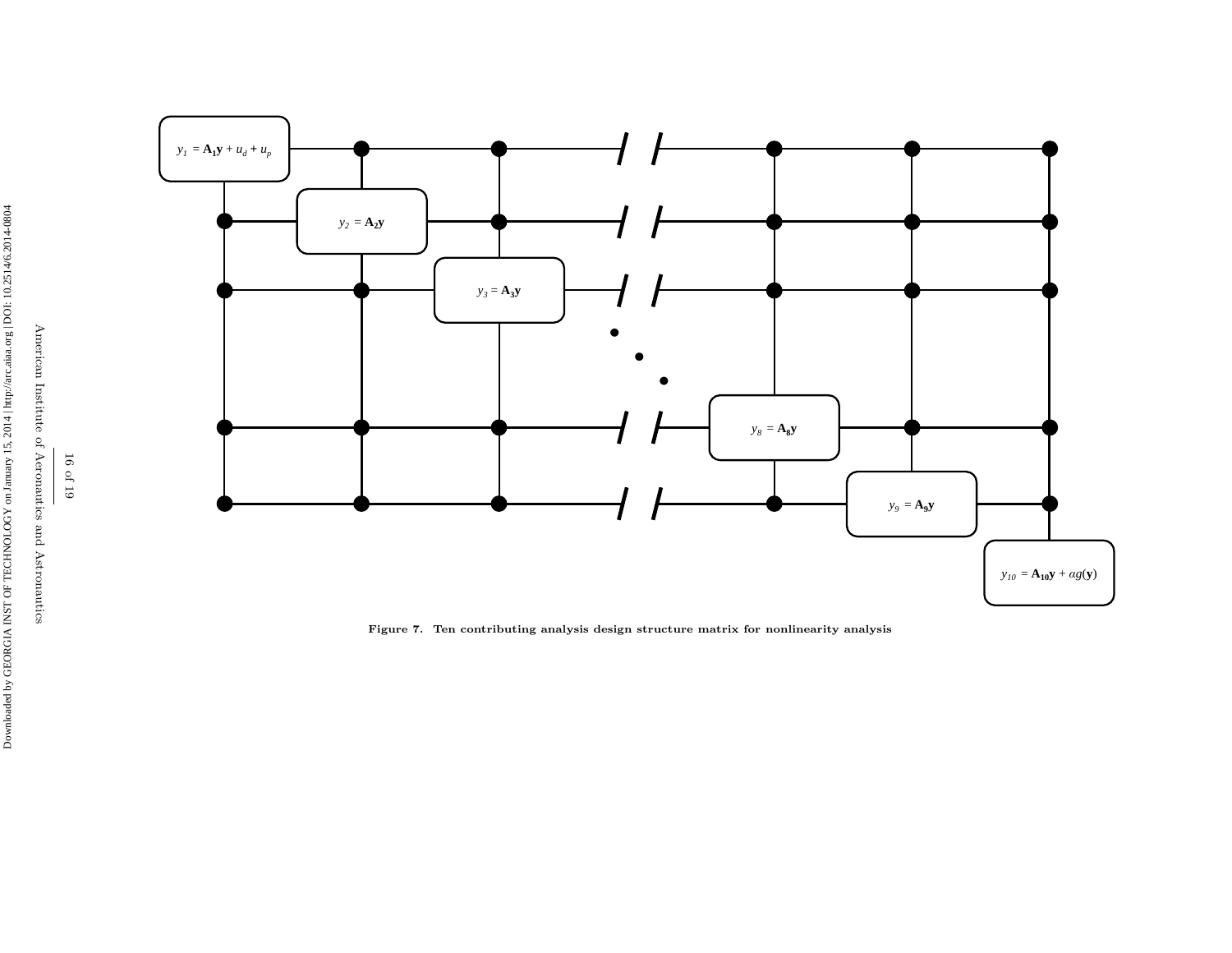

Figure 7. Ten contributing analysis design structure matrix for nonlinearity analysis

American Institute of Aeronautics and Astronautics American Institute of Aeronautics and Astronautics 16 of 19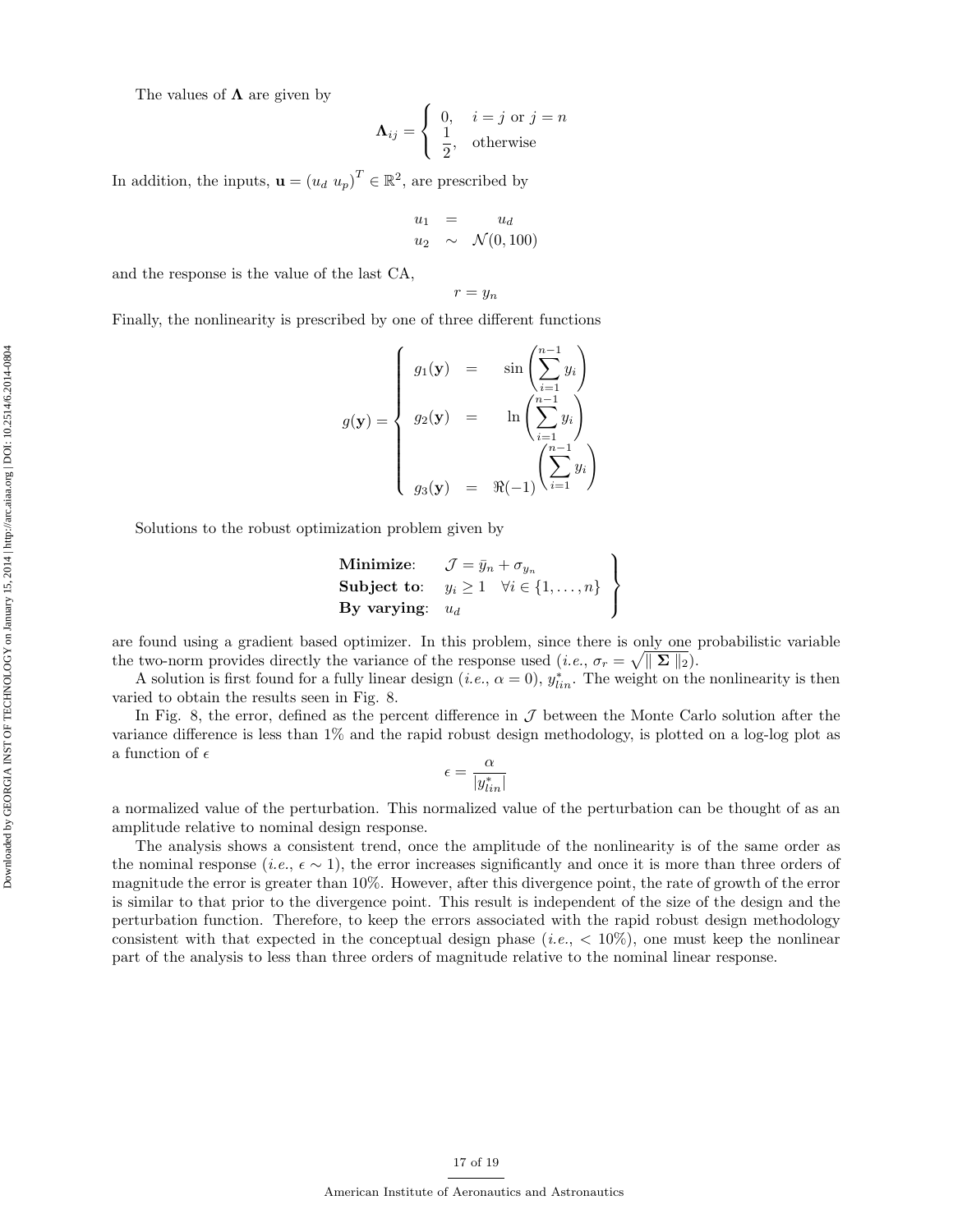The values of  $\Lambda$  are given by

$$
\mathbf{\Lambda}_{ij} = \begin{cases} 0, & i = j \text{ or } j = n \\ \frac{1}{2}, & \text{otherwise} \end{cases}
$$

In addition, the inputs,  $\mathbf{u} = (u_d \ u_p)^T \in \mathbb{R}^2$ , are prescribed by

$$
u_1 = u_d
$$
  

$$
u_2 \sim \mathcal{N}(0, 100)
$$

and the response is the value of the last CA,

$$
r = y_n
$$

Finally, the nonlinearity is prescribed by one of three different functions

$$
g(\mathbf{y}) = \begin{cases} g_1(\mathbf{y}) &= \sin\left(\sum_{i=1}^{n-1} y_i\right) \\ g_2(\mathbf{y}) &= \sin\left(\sum_{i=1}^{n-1} y_i\right) \\ g_3(\mathbf{y}) &= \Re(-1) \begin{pmatrix} \sum_{i=1}^{n-1} y_i \\ \sum_{i=1}^{n-1} y_i \end{pmatrix} \end{cases}
$$

Solutions to the robust optimization problem given by

$$
\begin{array}{ll}\textbf{Minimize:} & \mathcal{J} = \bar{y}_n + \sigma_{y_n} \\ \textbf{Subject to:} & y_i \ge 1 \quad \forall i \in \{1, \dots, n\} \\ \textbf{By varying:} & u_d \end{array} \right\}
$$

are found using a gradient based optimizer. In this problem, since there is only one probabilistic variable the two-norm provides directly the variance of the response used  $(i.e., \sigma_r = \sqrt{\|\mathbf{\Sigma}\|_2}).$ 

A solution is first found for a fully linear design (*i.e.*,  $\alpha = 0$ ),  $y_{lin}^*$ . The weight on the nonlinearity is then varied to obtain the results seen in Fig. 8.

In Fig. 8, the error, defined as the percent difference in  $\mathcal J$  between the Monte Carlo solution after the variance difference is less than 1% and the rapid robust design methodology, is plotted on a log-log plot as a function of  $\epsilon$ 

$$
\epsilon = \frac{\alpha}{|y^*_{lin}|}
$$

a normalized value of the perturbation. This normalized value of the perturbation can be thought of as an amplitude relative to nominal design response.

The analysis shows a consistent trend, once the amplitude of the nonlinearity is of the same order as the nominal response (*i.e.*,  $\epsilon \sim 1$ ), the error increases significantly and once it is more than three orders of magnitude the error is greater than 10%. However, after this divergence point, the rate of growth of the error is similar to that prior to the divergence point. This result is independent of the size of the design and the perturbation function. Therefore, to keep the errors associated with the rapid robust design methodology consistent with that expected in the conceptual design phase (*i.e.*,  $\langle 10\% \rangle$ ), one must keep the nonlinear part of the analysis to less than three orders of magnitude relative to the nominal linear response.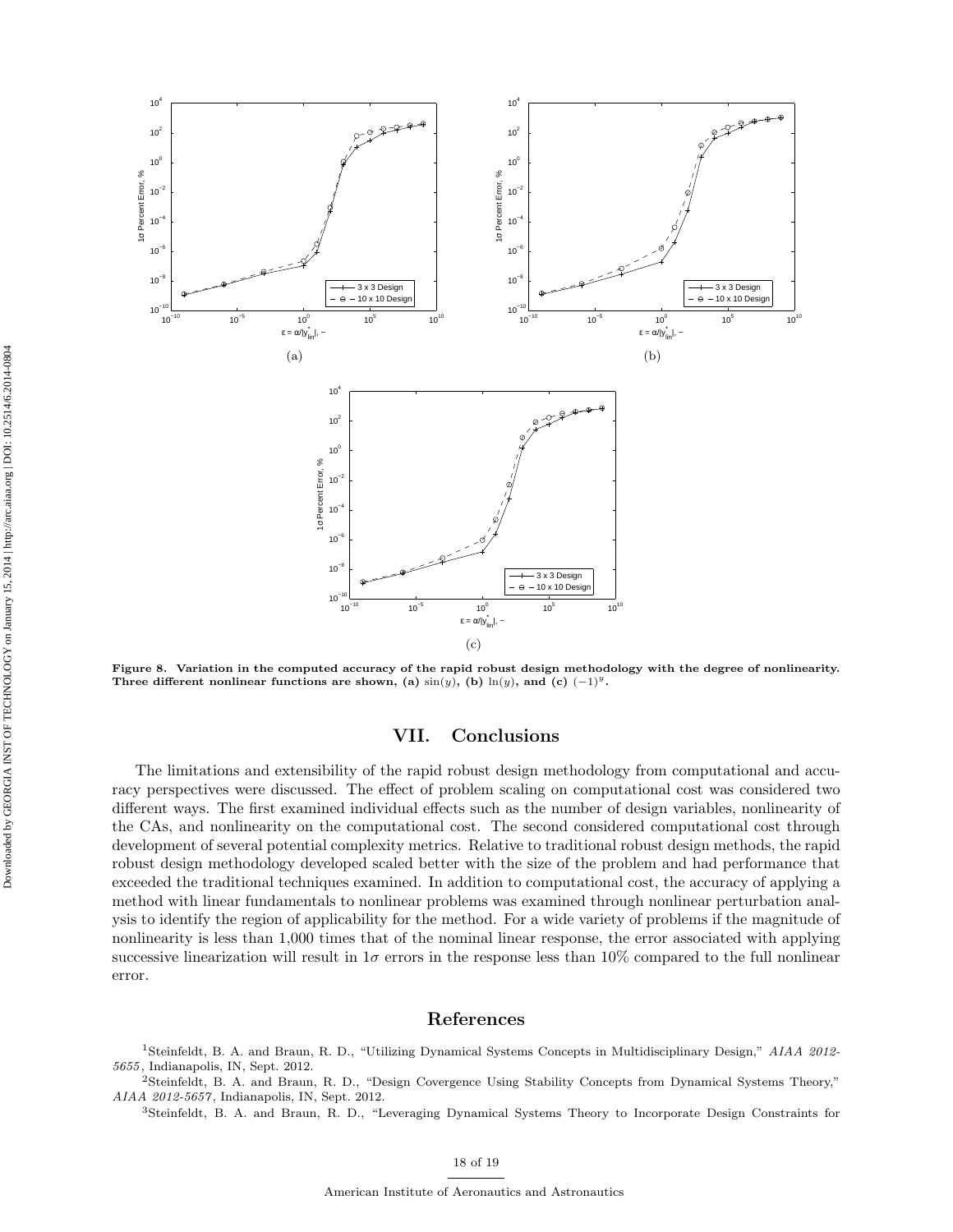

Figure 8. Variation in the computed accuracy of the rapid robust design methodology with the degree of nonlinearity. Three different nonlinear functions are shown, (a)  $\sin(y)$ , (b)  $\ln(y)$ , and (c)  $(-1)^y$ .

## VII. Conclusions

The limitations and extensibility of the rapid robust design methodology from computational and accuracy perspectives were discussed. The effect of problem scaling on computational cost was considered two different ways. The first examined individual effects such as the number of design variables, nonlinearity of the CAs, and nonlinearity on the computational cost. The second considered computational cost through development of several potential complexity metrics. Relative to traditional robust design methods, the rapid robust design methodology developed scaled better with the size of the problem and had performance that exceeded the traditional techniques examined. In addition to computational cost, the accuracy of applying a method with linear fundamentals to nonlinear problems was examined through nonlinear perturbation analysis to identify the region of applicability for the method. For a wide variety of problems if the magnitude of nonlinearity is less than 1,000 times that of the nominal linear response, the error associated with applying successive linearization will result in  $1\sigma$  errors in the response less than 10% compared to the full nonlinear error.

## References

<sup>1</sup>Steinfeldt, B. A. and Braun, R. D., "Utilizing Dynamical Systems Concepts in Multidisciplinary Design," AIAA 2012- 5655, Indianapolis, IN, Sept. 2012.

<sup>2</sup>Steinfeldt, B. A. and Braun, R. D., "Design Covergence Using Stability Concepts from Dynamical Systems Theory," AIAA 2012-5657 , Indianapolis, IN, Sept. 2012.

<sup>3</sup>Steinfeldt, B. A. and Braun, R. D., "Leveraging Dynamical Systems Theory to Incorporate Design Constraints for